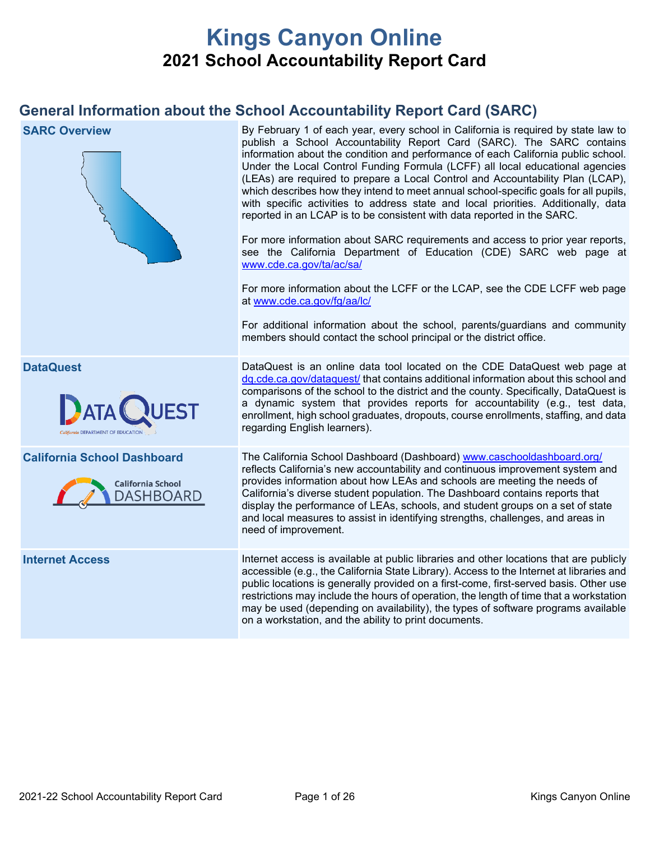# **Kings Canyon Online 2021 School Accountability Report Card**

## **General Information about the School Accountability Report Card (SARC)**

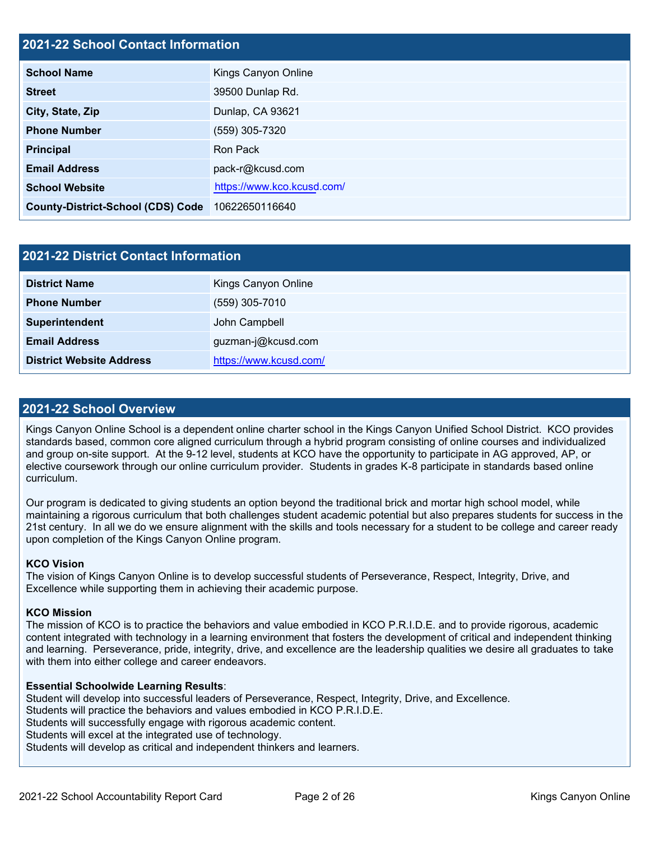#### **2021-22 School Contact Information**

| <b>School Name</b>                       | Kings Canyon Online        |  |
|------------------------------------------|----------------------------|--|
| <b>Street</b>                            | 39500 Dunlap Rd.           |  |
| City, State, Zip                         | Dunlap, CA 93621           |  |
| <b>Phone Number</b>                      | (559) 305-7320             |  |
| <b>Principal</b>                         | Ron Pack                   |  |
| <b>Email Address</b>                     | pack-r@kcusd.com           |  |
| <b>School Website</b>                    | https://www.kco.kcusd.com/ |  |
| <b>County-District-School (CDS) Code</b> | 10622650116640             |  |

| 2021-22 District Contact Information |                        |  |
|--------------------------------------|------------------------|--|
| <b>District Name</b>                 | Kings Canyon Online    |  |
| <b>Phone Number</b>                  | (559) 305-7010         |  |
| Superintendent                       | John Campbell          |  |
| <b>Email Address</b>                 | guzman-j@kcusd.com     |  |
| <b>District Website Address</b>      | https://www.kcusd.com/ |  |

#### **2021-22 School Overview**

Kings Canyon Online School is a dependent online charter school in the Kings Canyon Unified School District. KCO provides standards based, common core aligned curriculum through a hybrid program consisting of online courses and individualized and group on-site support. At the 9-12 level, students at KCO have the opportunity to participate in AG approved, AP, or elective coursework through our online curriculum provider. Students in grades K-8 participate in standards based online curriculum.

Our program is dedicated to giving students an option beyond the traditional brick and mortar high school model, while maintaining a rigorous curriculum that both challenges student academic potential but also prepares students for success in the 21st century. In all we do we ensure alignment with the skills and tools necessary for a student to be college and career ready upon completion of the Kings Canyon Online program.

#### **KCO Vision**

The vision of Kings Canyon Online is to develop successful students of Perseverance, Respect, Integrity, Drive, and Excellence while supporting them in achieving their academic purpose.

#### **KCO Mission**

The mission of KCO is to practice the behaviors and value embodied in KCO P.R.I.D.E. and to provide rigorous, academic content integrated with technology in a learning environment that fosters the development of critical and independent thinking and learning. Perseverance, pride, integrity, drive, and excellence are the leadership qualities we desire all graduates to take with them into either college and career endeavors.

#### **Essential Schoolwide Learning Results**:

Student will develop into successful leaders of Perseverance, Respect, Integrity, Drive, and Excellence.

Students will practice the behaviors and values embodied in KCO P.R.I.D.E.

Students will successfully engage with rigorous academic content.

Students will excel at the integrated use of technology.

Students will develop as critical and independent thinkers and learners.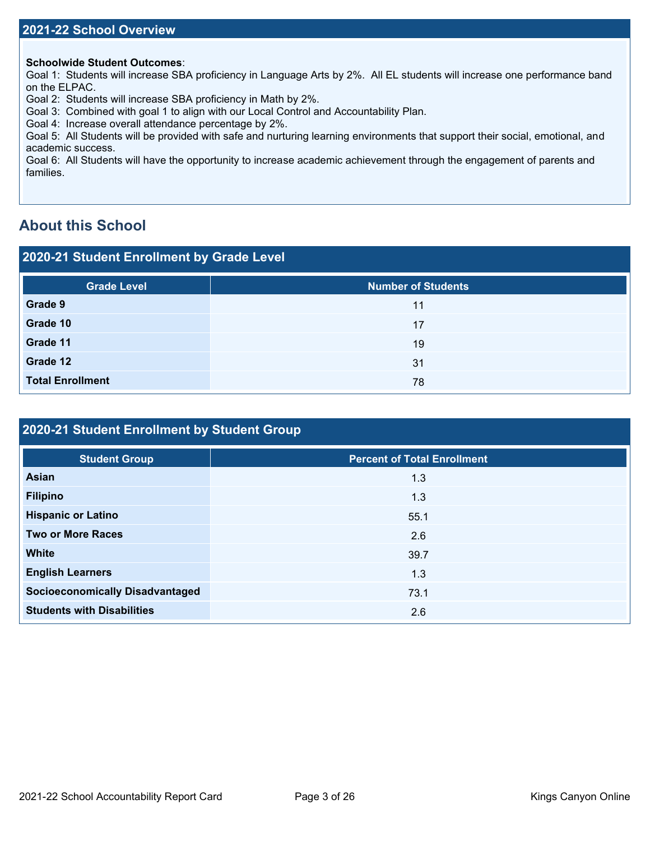#### **Schoolwide Student Outcomes**:

Goal 1: Students will increase SBA proficiency in Language Arts by 2%. All EL students will increase one performance band on the ELPAC.

Goal 2: Students will increase SBA proficiency in Math by 2%.

Goal 3: Combined with goal 1 to align with our Local Control and Accountability Plan.

Goal 4: Increase overall attendance percentage by 2%.

Goal 5: All Students will be provided with safe and nurturing learning environments that support their social, emotional, and academic success.

Goal 6: All Students will have the opportunity to increase academic achievement through the engagement of parents and families.

## **About this School**

#### **2020-21 Student Enrollment by Grade Level**

| <b>Grade Level</b>      | <b>Number of Students</b> |
|-------------------------|---------------------------|
| Grade 9                 | 11                        |
| Grade 10                | 17                        |
| Grade 11                | 19                        |
| Grade 12                | 31                        |
| <b>Total Enrollment</b> | 78                        |

## **2020-21 Student Enrollment by Student Group**

| <b>Student Group</b>                   | <b>Percent of Total Enrollment</b> |
|----------------------------------------|------------------------------------|
| <b>Asian</b>                           | 1.3                                |
| <b>Filipino</b>                        | 1.3                                |
| <b>Hispanic or Latino</b>              | 55.1                               |
| <b>Two or More Races</b>               | 2.6                                |
| <b>White</b>                           | 39.7                               |
| <b>English Learners</b>                | 1.3                                |
| <b>Socioeconomically Disadvantaged</b> | 73.1                               |
| <b>Students with Disabilities</b>      | 2.6                                |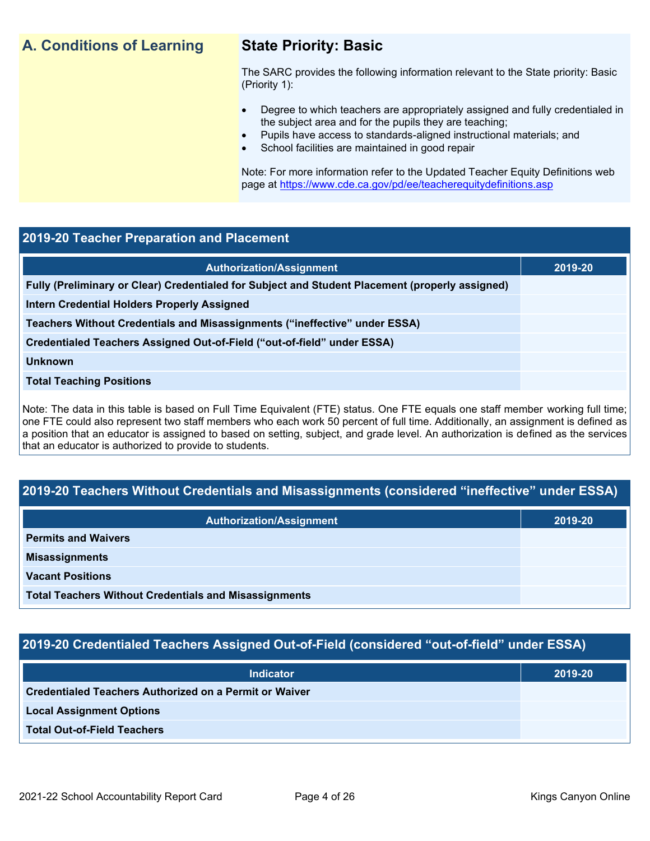## **A. Conditions of Learning State Priority: Basic**

The SARC provides the following information relevant to the State priority: Basic (Priority 1):

- Degree to which teachers are appropriately assigned and fully credentialed in the subject area and for the pupils they are teaching;
	- Pupils have access to standards-aligned instructional materials; and
- School facilities are maintained in good repair

Note: For more information refer to the Updated Teacher Equity Definitions web page at<https://www.cde.ca.gov/pd/ee/teacherequitydefinitions.asp>

#### **2019-20 Teacher Preparation and Placement**

| <b>Authorization/Assignment</b>                                                                 | 2019-20 |
|-------------------------------------------------------------------------------------------------|---------|
| Fully (Preliminary or Clear) Credentialed for Subject and Student Placement (properly assigned) |         |
| <b>Intern Credential Holders Properly Assigned</b>                                              |         |
| Teachers Without Credentials and Misassignments ("ineffective" under ESSA)                      |         |
| Credentialed Teachers Assigned Out-of-Field ("out-of-field" under ESSA)                         |         |
| <b>Unknown</b>                                                                                  |         |
| <b>Total Teaching Positions</b>                                                                 |         |
|                                                                                                 |         |

Note: The data in this table is based on Full Time Equivalent (FTE) status. One FTE equals one staff member working full time; one FTE could also represent two staff members who each work 50 percent of full time. Additionally, an assignment is defined as a position that an educator is assigned to based on setting, subject, and grade level. An authorization is defined as the services that an educator is authorized to provide to students.

### **2019-20 Teachers Without Credentials and Misassignments (considered "ineffective" under ESSA)**

| <b>Authorization/Assignment</b>                              | 2019-20 |  |
|--------------------------------------------------------------|---------|--|
| <b>Permits and Waivers</b>                                   |         |  |
| <b>Misassignments</b>                                        |         |  |
| <b>Vacant Positions</b>                                      |         |  |
| <b>Total Teachers Without Credentials and Misassignments</b> |         |  |

#### **2019-20 Credentialed Teachers Assigned Out-of-Field (considered "out-of-field" under ESSA)**

| <b>Indicator</b>                                              | 2019-20 |
|---------------------------------------------------------------|---------|
| <b>Credentialed Teachers Authorized on a Permit or Waiver</b> |         |
| <b>Local Assignment Options</b>                               |         |
| <b>Total Out-of-Field Teachers</b>                            |         |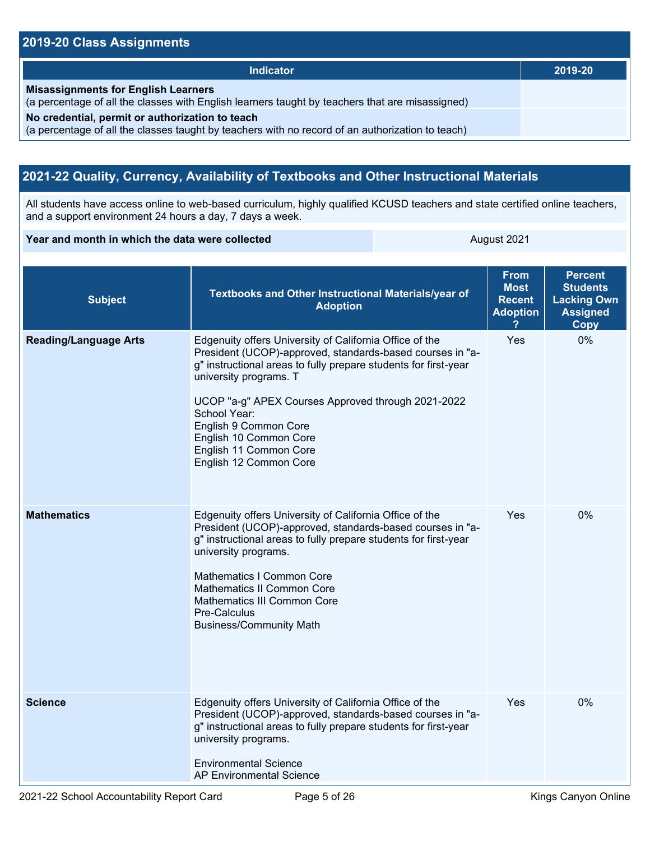#### **2019-20 Class Assignments**

| <b>Indicator</b>                                                                                                                                    | 2019-20 |
|-----------------------------------------------------------------------------------------------------------------------------------------------------|---------|
| <b>Misassignments for English Learners</b><br>(a percentage of all the classes with English learners taught by teachers that are misassigned)       |         |
| No credential, permit or authorization to teach<br>(a percentage of all the classes taught by teachers with no record of an authorization to teach) |         |

## **2021-22 Quality, Currency, Availability of Textbooks and Other Instructional Materials**

All students have access online to web-based curriculum, highly qualified KCUSD teachers and state certified online teachers, and a support environment 24 hours a day, 7 days a week.

#### **Year and month in which the data were collected** August 2021

| <b>Subject</b>               | Textbooks and Other Instructional Materials/year of<br><b>Adoption</b>                                                                                                                                                                                                                                                                                                                         | <b>From</b><br><b>Most</b><br><b>Recent</b><br><b>Adoption</b> | <b>Percent</b><br><b>Students</b><br><b>Lacking Own</b><br><b>Assigned</b><br><b>Copy</b> |
|------------------------------|------------------------------------------------------------------------------------------------------------------------------------------------------------------------------------------------------------------------------------------------------------------------------------------------------------------------------------------------------------------------------------------------|----------------------------------------------------------------|-------------------------------------------------------------------------------------------|
| <b>Reading/Language Arts</b> | Edgenuity offers University of California Office of the<br>President (UCOP)-approved, standards-based courses in "a-<br>g" instructional areas to fully prepare students for first-year<br>university programs. T<br>UCOP "a-g" APEX Courses Approved through 2021-2022<br>School Year:<br>English 9 Common Core<br>English 10 Common Core<br>English 11 Common Core<br>English 12 Common Core | Yes                                                            | 0%                                                                                        |
| <b>Mathematics</b>           | Edgenuity offers University of California Office of the<br>President (UCOP)-approved, standards-based courses in "a-<br>g" instructional areas to fully prepare students for first-year<br>university programs.<br>Mathematics I Common Core<br><b>Mathematics II Common Core</b><br><b>Mathematics III Common Core</b><br>Pre-Calculus<br><b>Business/Community Math</b>                      | Yes                                                            | 0%                                                                                        |
| <b>Science</b>               | Edgenuity offers University of California Office of the<br>President (UCOP)-approved, standards-based courses in "a-<br>g" instructional areas to fully prepare students for first-year<br>university programs.<br><b>Environmental Science</b><br><b>AP Environmental Science</b>                                                                                                             | Yes                                                            | 0%                                                                                        |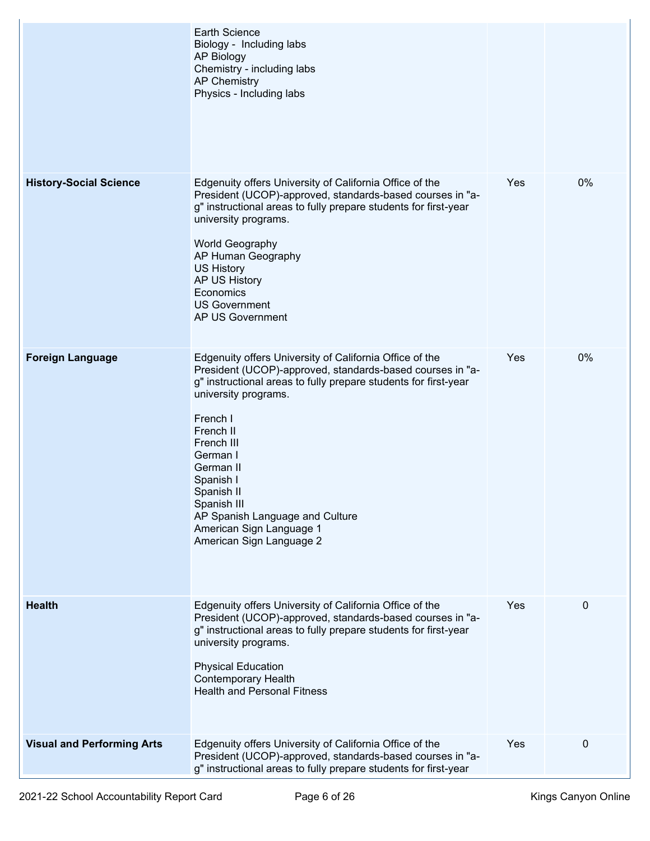|                                   | <b>Earth Science</b><br>Biology - Including labs<br><b>AP Biology</b><br>Chemistry - including labs<br><b>AP Chemistry</b><br>Physics - Including labs                                                                                                                                                                                                                                                               |     |           |
|-----------------------------------|----------------------------------------------------------------------------------------------------------------------------------------------------------------------------------------------------------------------------------------------------------------------------------------------------------------------------------------------------------------------------------------------------------------------|-----|-----------|
| <b>History-Social Science</b>     | Edgenuity offers University of California Office of the<br>President (UCOP)-approved, standards-based courses in "a-<br>g" instructional areas to fully prepare students for first-year<br>university programs.<br>World Geography<br>AP Human Geography<br><b>US History</b><br>AP US History<br>Economics<br><b>US Government</b><br>AP US Government                                                              | Yes | 0%        |
| <b>Foreign Language</b>           | Edgenuity offers University of California Office of the<br>President (UCOP)-approved, standards-based courses in "a-<br>g" instructional areas to fully prepare students for first-year<br>university programs.<br>French I<br>French II<br>French III<br>German I<br>German II<br>Spanish I<br>Spanish II<br>Spanish III<br>AP Spanish Language and Culture<br>American Sign Language 1<br>American Sign Language 2 | Yes | 0%        |
| <b>Health</b>                     | Edgenuity offers University of California Office of the<br>President (UCOP)-approved, standards-based courses in "a-<br>g" instructional areas to fully prepare students for first-year<br>university programs.<br><b>Physical Education</b><br><b>Contemporary Health</b><br><b>Health and Personal Fitness</b>                                                                                                     | Yes | $\pmb{0}$ |
| <b>Visual and Performing Arts</b> | Edgenuity offers University of California Office of the<br>President (UCOP)-approved, standards-based courses in "a-<br>g" instructional areas to fully prepare students for first-year                                                                                                                                                                                                                              | Yes | 0         |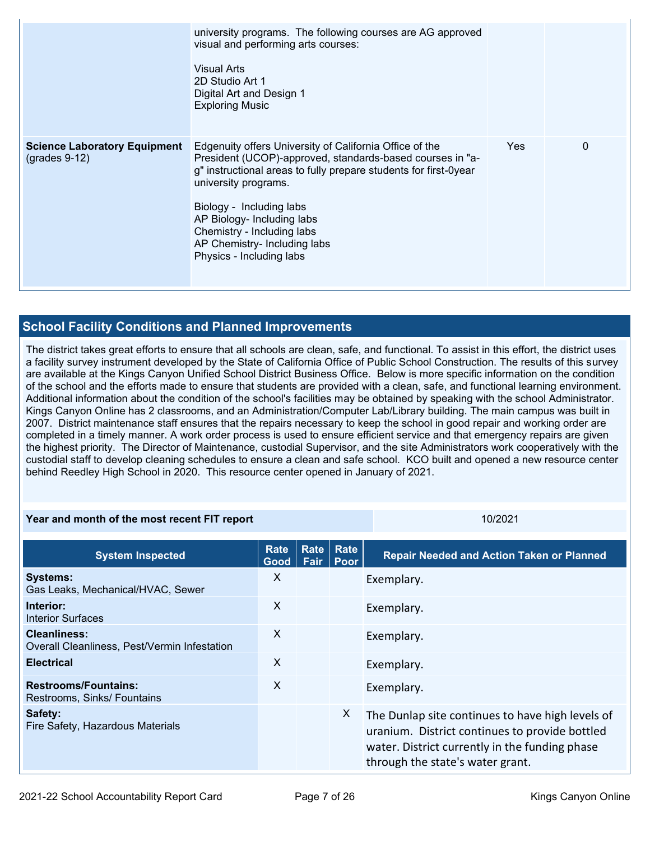|                                                        | university programs. The following courses are AG approved<br>visual and performing arts courses:<br><b>Visual Arts</b><br>2D Studio Art 1<br>Digital Art and Design 1<br><b>Exploring Music</b>                                                                                                                                                                     |     |          |
|--------------------------------------------------------|----------------------------------------------------------------------------------------------------------------------------------------------------------------------------------------------------------------------------------------------------------------------------------------------------------------------------------------------------------------------|-----|----------|
| <b>Science Laboratory Equipment</b><br>$(grades 9-12)$ | Edgenuity offers University of California Office of the<br>President (UCOP)-approved, standards-based courses in "a-<br>g" instructional areas to fully prepare students for first-0year<br>university programs.<br>Biology - Including labs<br>AP Biology- Including labs<br>Chemistry - Including labs<br>AP Chemistry- Including labs<br>Physics - Including labs | Yes | $\Omega$ |

## **School Facility Conditions and Planned Improvements**

The district takes great efforts to ensure that all schools are clean, safe, and functional. To assist in this effort, the district uses a facility survey instrument developed by the State of California Office of Public School Construction. The results of this survey are available at the Kings Canyon Unified School District Business Office. Below is more specific information on the condition of the school and the efforts made to ensure that students are provided with a clean, safe, and functional learning environment. Additional information about the condition of the school's facilities may be obtained by speaking with the school Administrator. Kings Canyon Online has 2 classrooms, and an Administration/Computer Lab/Library building. The main campus was built in 2007. District maintenance staff ensures that the repairs necessary to keep the school in good repair and working order are completed in a timely manner. A work order process is used to ensure efficient service and that emergency repairs are given the highest priority. The Director of Maintenance, custodial Supervisor, and the site Administrators work cooperatively with the custodial staff to develop cleaning schedules to ensure a clean and safe school. KCO built and opened a new resource center behind Reedley High School in 2020. This resource center opened in January of 2021.

#### **Year and month of the most recent FIT report** 10/2021 10/2021

**System Inspected Rate Good Rate Fair Rate Poor Repair Needed and Action Taken or Planned Systems:** Gas Leaks, Mechanical/HVAC, Sewer X Exemplary. **Interior:** Interior Surfaces X Exemplary. **Cleanliness:** Overall Cleanliness, Pest/Vermin Infestation X Exemplary. **Electrical** Exemplary. **Restrooms/Fountains:** Restrooms, Sinks/ Fountains X Exemplary. **Safety:** Fire Safety, Hazardous Materials X The Dunlap site continues to have high levels of uranium. District continues to provide bottled water. District currently in the funding phase through the state's water grant.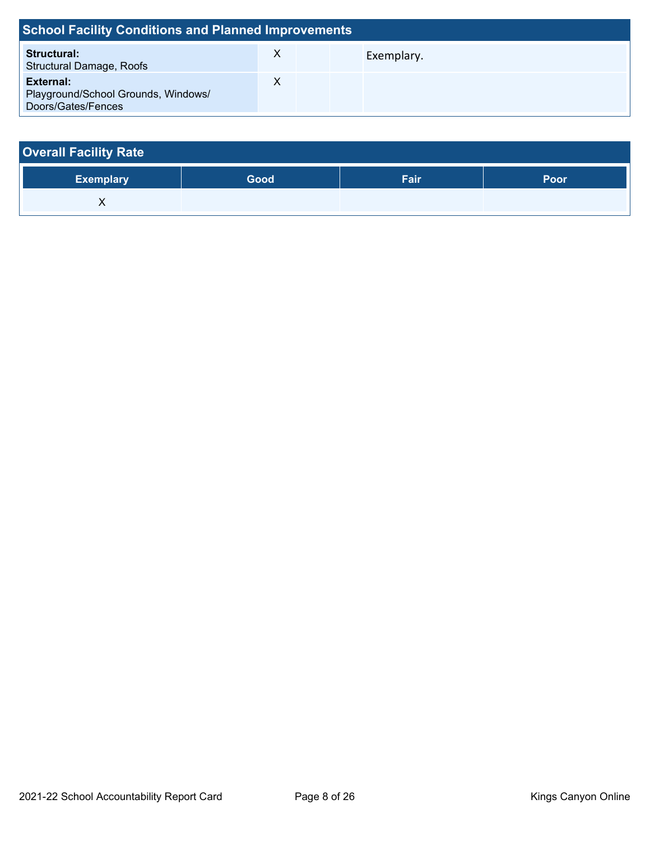| <b>School Facility Conditions and Planned Improvements</b>             |   |            |  |
|------------------------------------------------------------------------|---|------------|--|
| <b>Structural:</b><br><b>Structural Damage, Roofs</b>                  | X | Exemplary. |  |
| External:<br>Playground/School Grounds, Windows/<br>Doors/Gates/Fences |   |            |  |

| <b>Overall Facility Rate</b> |      |      |      |  |  |  |  |
|------------------------------|------|------|------|--|--|--|--|
| <b>Exemplary</b>             | Good | Fair | Poor |  |  |  |  |
|                              |      |      |      |  |  |  |  |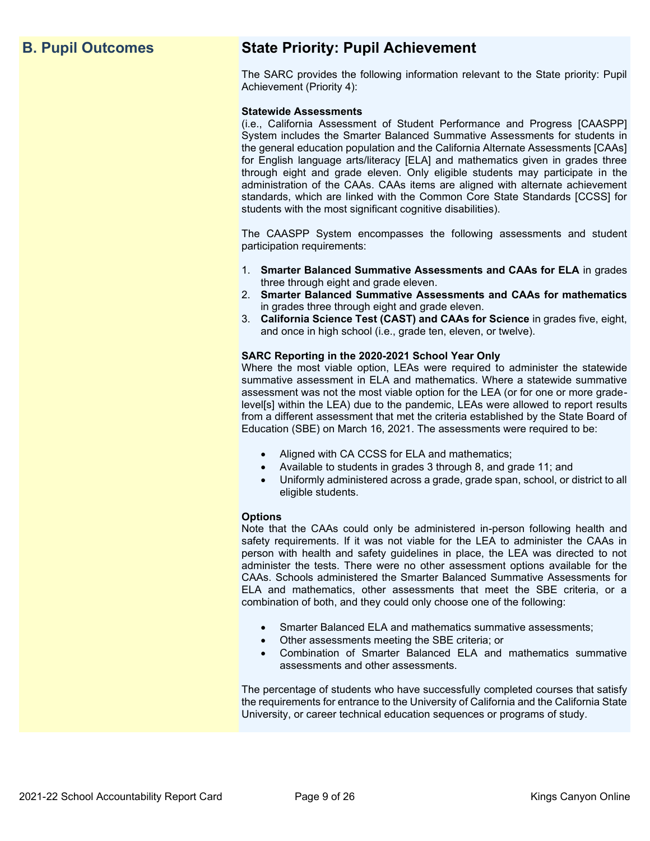## **B. Pupil Outcomes State Priority: Pupil Achievement**

The SARC provides the following information relevant to the State priority: Pupil Achievement (Priority 4):

#### **Statewide Assessments**

(i.e., California Assessment of Student Performance and Progress [CAASPP] System includes the Smarter Balanced Summative Assessments for students in the general education population and the California Alternate Assessments [CAAs] for English language arts/literacy [ELA] and mathematics given in grades three through eight and grade eleven. Only eligible students may participate in the administration of the CAAs. CAAs items are aligned with alternate achievement standards, which are linked with the Common Core State Standards [CCSS] for students with the most significant cognitive disabilities).

The CAASPP System encompasses the following assessments and student participation requirements:

- 1. **Smarter Balanced Summative Assessments and CAAs for ELA** in grades three through eight and grade eleven.
- 2. **Smarter Balanced Summative Assessments and CAAs for mathematics** in grades three through eight and grade eleven.
- 3. **California Science Test (CAST) and CAAs for Science** in grades five, eight, and once in high school (i.e., grade ten, eleven, or twelve).

#### **SARC Reporting in the 2020-2021 School Year Only**

Where the most viable option, LEAs were required to administer the statewide summative assessment in ELA and mathematics. Where a statewide summative assessment was not the most viable option for the LEA (or for one or more gradelevel[s] within the LEA) due to the pandemic, LEAs were allowed to report results from a different assessment that met the criteria established by the State Board of Education (SBE) on March 16, 2021. The assessments were required to be:

- Aligned with CA CCSS for ELA and mathematics;
- Available to students in grades 3 through 8, and grade 11; and
- Uniformly administered across a grade, grade span, school, or district to all eligible students.

#### **Options**

Note that the CAAs could only be administered in-person following health and safety requirements. If it was not viable for the LEA to administer the CAAs in person with health and safety guidelines in place, the LEA was directed to not administer the tests. There were no other assessment options available for the CAAs. Schools administered the Smarter Balanced Summative Assessments for ELA and mathematics, other assessments that meet the SBE criteria, or a combination of both, and they could only choose one of the following:

- Smarter Balanced ELA and mathematics summative assessments;
- Other assessments meeting the SBE criteria; or
- Combination of Smarter Balanced ELA and mathematics summative assessments and other assessments.

The percentage of students who have successfully completed courses that satisfy the requirements for entrance to the University of California and the California State University, or career technical education sequences or programs of study.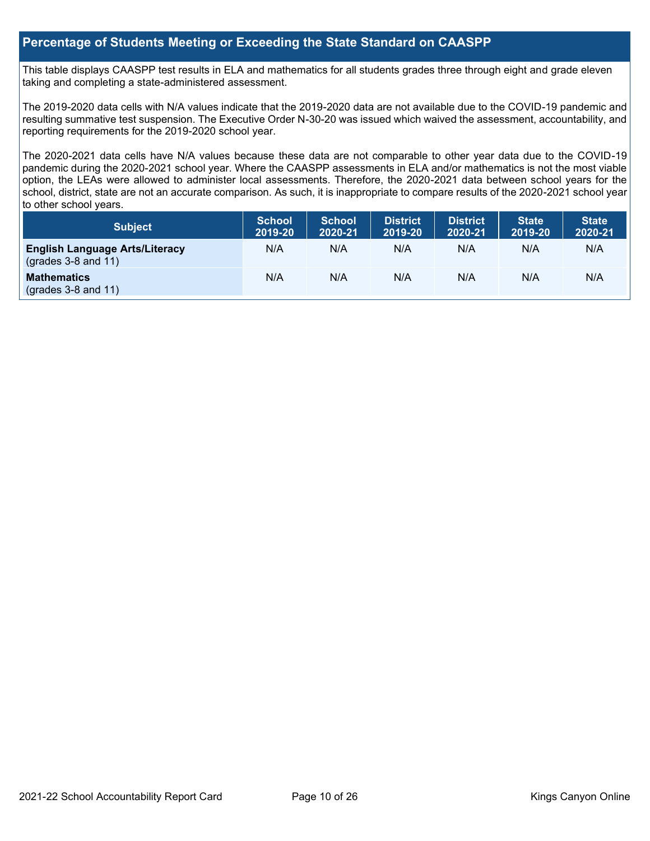#### **Percentage of Students Meeting or Exceeding the State Standard on CAASPP**

This table displays CAASPP test results in ELA and mathematics for all students grades three through eight and grade eleven taking and completing a state-administered assessment.

The 2019-2020 data cells with N/A values indicate that the 2019-2020 data are not available due to the COVID-19 pandemic and resulting summative test suspension. The Executive Order N-30-20 was issued which waived the assessment, accountability, and reporting requirements for the 2019-2020 school year.

The 2020-2021 data cells have N/A values because these data are not comparable to other year data due to the COVID-19 pandemic during the 2020-2021 school year. Where the CAASPP assessments in ELA and/or mathematics is not the most viable option, the LEAs were allowed to administer local assessments. Therefore, the 2020-2021 data between school years for the school, district, state are not an accurate comparison. As such, it is inappropriate to compare results of the 2020-2021 school year to other school years.

| <b>Subject</b>                                                 | <b>School</b><br>2019-20 | <b>School</b><br>2020-21 | District<br>2019-20 | <b>District</b><br>2020-21 | <b>State</b><br>2019-20 | <b>State</b><br>2020-21 |
|----------------------------------------------------------------|--------------------------|--------------------------|---------------------|----------------------------|-------------------------|-------------------------|
| <b>English Language Arts/Literacy</b><br>$(grades 3-8 and 11)$ | N/A                      | N/A                      | N/A                 | N/A                        | N/A                     | N/A                     |
| <b>Mathematics</b><br>$(grades 3-8 and 11)$                    | N/A                      | N/A                      | N/A                 | N/A                        | N/A                     | N/A                     |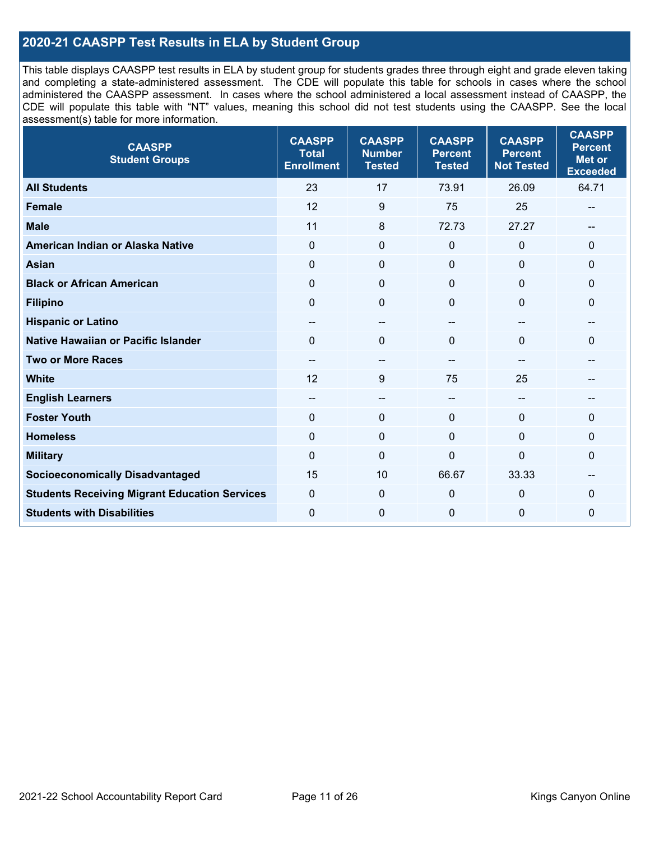### **2020-21 CAASPP Test Results in ELA by Student Group**

This table displays CAASPP test results in ELA by student group for students grades three through eight and grade eleven taking and completing a state-administered assessment. The CDE will populate this table for schools in cases where the school administered the CAASPP assessment. In cases where the school administered a local assessment instead of CAASPP, the CDE will populate this table with "NT" values, meaning this school did not test students using the CAASPP. See the local assessment(s) table for more information.

| <b>CAASPP</b><br><b>Student Groups</b>               | <b>CAASPP</b><br><b>Total</b><br><b>Enrollment</b> | <b>CAASPP</b><br><b>Number</b><br><b>Tested</b> | <b>CAASPP</b><br><b>Percent</b><br><b>Tested</b> | <b>CAASPP</b><br><b>Percent</b><br><b>Not Tested</b> | <b>CAASPP</b><br><b>Percent</b><br><b>Met or</b><br><b>Exceeded</b> |
|------------------------------------------------------|----------------------------------------------------|-------------------------------------------------|--------------------------------------------------|------------------------------------------------------|---------------------------------------------------------------------|
| <b>All Students</b>                                  | 23                                                 | 17                                              | 73.91                                            | 26.09                                                | 64.71                                                               |
| <b>Female</b>                                        | 12                                                 | 9                                               | 75                                               | 25                                                   | --                                                                  |
| <b>Male</b>                                          | 11                                                 | 8                                               | 72.73                                            | 27.27                                                | --                                                                  |
| American Indian or Alaska Native                     | $\mathbf 0$                                        | $\pmb{0}$                                       | $\pmb{0}$                                        | 0                                                    | $\pmb{0}$                                                           |
| <b>Asian</b>                                         | $\mathbf 0$                                        | $\mathbf 0$                                     | $\mathbf 0$                                      | $\Omega$                                             | $\mathbf 0$                                                         |
| <b>Black or African American</b>                     | $\mathbf{0}$                                       | $\mathbf 0$                                     | $\Omega$                                         | $\Omega$                                             | $\mathbf 0$                                                         |
| <b>Filipino</b>                                      | $\mathbf{0}$                                       | $\mathbf 0$                                     | $\mathbf 0$                                      | $\Omega$                                             | 0                                                                   |
| <b>Hispanic or Latino</b>                            | $\overline{\phantom{m}}$                           | $\overline{\phantom{m}}$                        | $\qquad \qquad -$                                | $\sim$                                               | $- -$                                                               |
| <b>Native Hawaiian or Pacific Islander</b>           | $\mathbf 0$                                        | $\pmb{0}$                                       | $\mathbf 0$                                      | $\Omega$                                             | $\mathbf 0$                                                         |
| <b>Two or More Races</b>                             | --                                                 | --                                              |                                                  | --                                                   | --                                                                  |
| <b>White</b>                                         | 12                                                 | 9                                               | 75                                               | 25                                                   |                                                                     |
| <b>English Learners</b>                              | $\overline{\phantom{m}}$                           | $\qquad \qquad -$                               | --                                               | --                                                   |                                                                     |
| <b>Foster Youth</b>                                  | $\mathbf{0}$                                       | $\mathbf{0}$                                    | $\mathbf 0$                                      | $\Omega$                                             | $\mathbf{0}$                                                        |
| <b>Homeless</b>                                      | $\mathbf 0$                                        | $\pmb{0}$                                       | $\mathbf 0$                                      | 0                                                    | $\pmb{0}$                                                           |
| <b>Military</b>                                      | $\mathbf{0}$                                       | $\mathbf 0$                                     | $\mathbf 0$                                      | $\Omega$                                             | 0                                                                   |
| <b>Socioeconomically Disadvantaged</b>               | 15                                                 | 10                                              | 66.67                                            | 33.33                                                | --                                                                  |
| <b>Students Receiving Migrant Education Services</b> | $\mathbf 0$                                        | $\mathbf 0$                                     | $\mathbf 0$                                      | $\Omega$                                             | 0                                                                   |
| <b>Students with Disabilities</b>                    | $\mathbf{0}$                                       | $\mathbf{0}$                                    | $\mathbf 0$                                      | 0                                                    | 0                                                                   |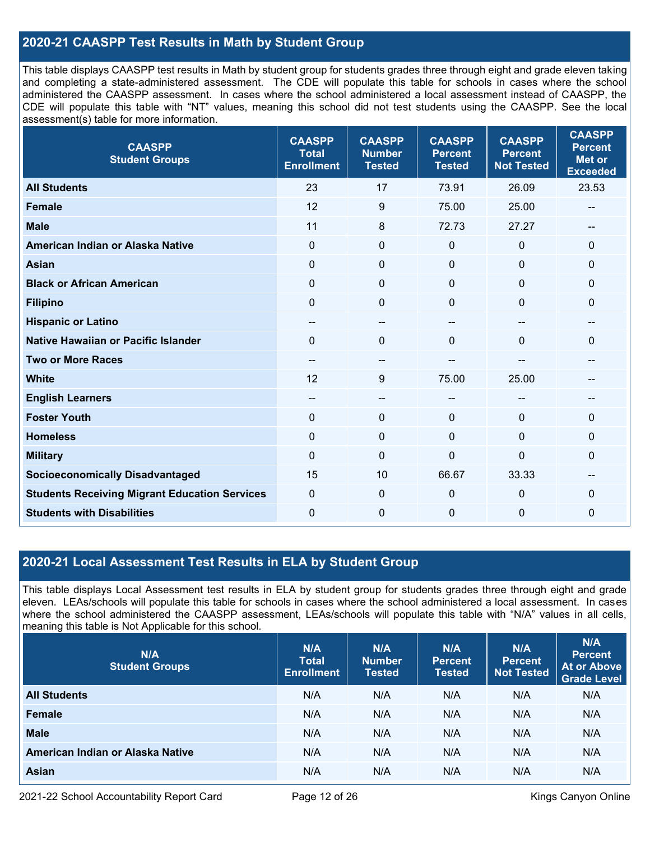### **2020-21 CAASPP Test Results in Math by Student Group**

This table displays CAASPP test results in Math by student group for students grades three through eight and grade eleven taking and completing a state-administered assessment. The CDE will populate this table for schools in cases where the school administered the CAASPP assessment. In cases where the school administered a local assessment instead of CAASPP, the CDE will populate this table with "NT" values, meaning this school did not test students using the CAASPP. See the local assessment(s) table for more information.

| <b>CAASPP</b><br><b>Student Groups</b>               | <b>CAASPP</b><br><b>Total</b><br><b>Enrollment</b> | <b>CAASPP</b><br><b>Number</b><br><b>Tested</b> | <b>CAASPP</b><br><b>Percent</b><br><b>Tested</b> | <b>CAASPP</b><br><b>Percent</b><br><b>Not Tested</b> | <b>CAASPP</b><br><b>Percent</b><br><b>Met or</b><br><b>Exceeded</b> |
|------------------------------------------------------|----------------------------------------------------|-------------------------------------------------|--------------------------------------------------|------------------------------------------------------|---------------------------------------------------------------------|
| <b>All Students</b>                                  | 23                                                 | 17                                              | 73.91                                            | 26.09                                                | 23.53                                                               |
| Female                                               | 12                                                 | 9                                               | 75.00                                            | 25.00                                                |                                                                     |
| <b>Male</b>                                          | 11                                                 | 8                                               | 72.73                                            | 27.27                                                | --                                                                  |
| American Indian or Alaska Native                     | $\mathbf 0$                                        | $\mathbf 0$                                     | $\mathbf 0$                                      | 0                                                    | $\mathbf 0$                                                         |
| <b>Asian</b>                                         | $\mathbf 0$                                        | $\pmb{0}$                                       | $\mathbf{0}$                                     | 0                                                    | $\mathbf 0$                                                         |
| <b>Black or African American</b>                     | $\mathbf{0}$                                       | $\mathbf{0}$                                    | $\Omega$                                         | $\Omega$                                             | $\mathbf 0$                                                         |
| <b>Filipino</b>                                      | $\mathbf{0}$                                       | $\mathbf 0$                                     | $\Omega$                                         | $\Omega$                                             | $\mathbf 0$                                                         |
| <b>Hispanic or Latino</b>                            | --                                                 | $\qquad \qquad -$                               | --                                               | --                                                   | --                                                                  |
| <b>Native Hawaiian or Pacific Islander</b>           | $\mathbf{0}$                                       | $\mathbf 0$                                     | $\mathbf 0$                                      | $\Omega$                                             | 0                                                                   |
| <b>Two or More Races</b>                             |                                                    | --                                              |                                                  |                                                      |                                                                     |
| <b>White</b>                                         | 12                                                 | 9                                               | 75.00                                            | 25.00                                                | $\hspace{0.05cm}$ – $\hspace{0.05cm}$                               |
| <b>English Learners</b>                              | --                                                 | --                                              | --                                               |                                                      |                                                                     |
| <b>Foster Youth</b>                                  | $\mathbf 0$                                        | $\mathbf 0$                                     | $\mathbf 0$                                      | $\Omega$                                             | $\mathbf{0}$                                                        |
| <b>Homeless</b>                                      | $\mathbf{0}$                                       | $\mathbf 0$                                     | $\mathbf 0$                                      | $\Omega$                                             | $\mathbf 0$                                                         |
| <b>Military</b>                                      | $\mathbf 0$                                        | 0                                               | 0                                                | 0                                                    | 0                                                                   |
| <b>Socioeconomically Disadvantaged</b>               | 15                                                 | 10                                              | 66.67                                            | 33.33                                                | --                                                                  |
| <b>Students Receiving Migrant Education Services</b> | $\mathbf 0$                                        | $\mathbf 0$                                     | $\mathbf 0$                                      | $\Omega$                                             | 0                                                                   |
| <b>Students with Disabilities</b>                    | $\mathbf 0$                                        | 0                                               | $\Omega$                                         | 0                                                    | 0                                                                   |

#### **2020-21 Local Assessment Test Results in ELA by Student Group**

This table displays Local Assessment test results in ELA by student group for students grades three through eight and grade eleven. LEAs/schools will populate this table for schools in cases where the school administered a local assessment. In cases where the school administered the CAASPP assessment, LEAs/schools will populate this table with "N/A" values in all cells, meaning this table is Not Applicable for this school.

| N/A<br><b>Student Groups</b>     | N/A<br><b>Total</b><br><b>Enrollment</b> | N/A<br><b>Number</b><br><b>Tested</b> | N/A<br><b>Percent</b><br><b>Tested</b> | N/A<br>Percent<br><b>Not Tested</b> | N/A<br><b>Percent</b><br><b>At or Above</b><br><b>Grade Level</b> |
|----------------------------------|------------------------------------------|---------------------------------------|----------------------------------------|-------------------------------------|-------------------------------------------------------------------|
| <b>All Students</b>              | N/A                                      | N/A                                   | N/A                                    | N/A                                 | N/A                                                               |
| Female                           | N/A                                      | N/A                                   | N/A                                    | N/A                                 | N/A                                                               |
| <b>Male</b>                      | N/A                                      | N/A                                   | N/A                                    | N/A                                 | N/A                                                               |
| American Indian or Alaska Native | N/A                                      | N/A                                   | N/A                                    | N/A                                 | N/A                                                               |
| <b>Asian</b>                     | N/A                                      | N/A                                   | N/A                                    | N/A                                 | N/A                                                               |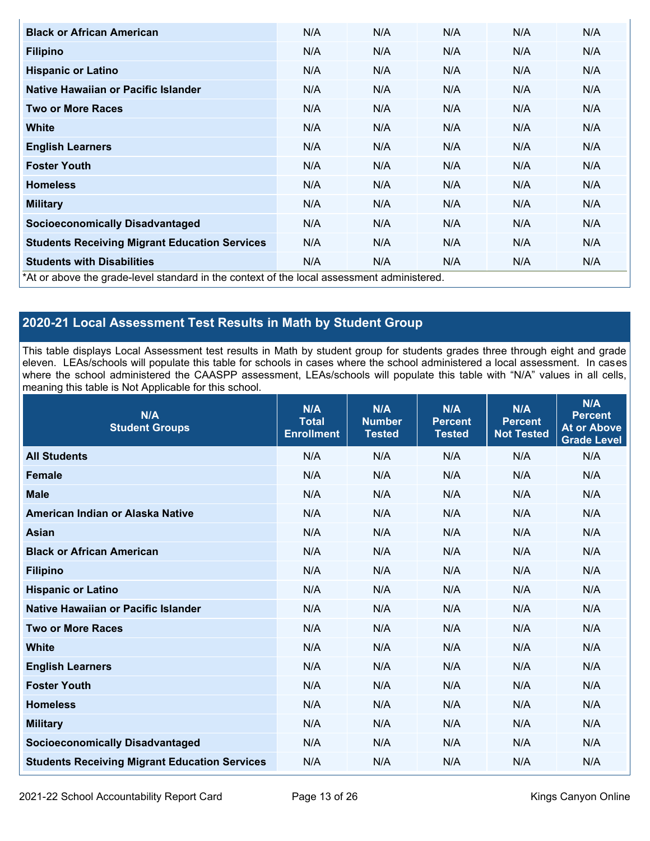| <b>Black or African American</b>                     | N/A                                                                                        | N/A | N/A | N/A | N/A |  |  |  |
|------------------------------------------------------|--------------------------------------------------------------------------------------------|-----|-----|-----|-----|--|--|--|
| <b>Filipino</b>                                      | N/A                                                                                        | N/A | N/A | N/A | N/A |  |  |  |
| <b>Hispanic or Latino</b>                            | N/A                                                                                        | N/A | N/A | N/A | N/A |  |  |  |
| Native Hawaiian or Pacific Islander                  | N/A                                                                                        | N/A | N/A | N/A | N/A |  |  |  |
| <b>Two or More Races</b>                             | N/A                                                                                        | N/A | N/A | N/A | N/A |  |  |  |
| <b>White</b>                                         | N/A                                                                                        | N/A | N/A | N/A | N/A |  |  |  |
| <b>English Learners</b>                              | N/A                                                                                        | N/A | N/A | N/A | N/A |  |  |  |
| <b>Foster Youth</b>                                  | N/A                                                                                        | N/A | N/A | N/A | N/A |  |  |  |
| <b>Homeless</b>                                      | N/A                                                                                        | N/A | N/A | N/A | N/A |  |  |  |
| <b>Military</b>                                      | N/A                                                                                        | N/A | N/A | N/A | N/A |  |  |  |
| <b>Socioeconomically Disadvantaged</b>               | N/A                                                                                        | N/A | N/A | N/A | N/A |  |  |  |
| <b>Students Receiving Migrant Education Services</b> | N/A                                                                                        | N/A | N/A | N/A | N/A |  |  |  |
| <b>Students with Disabilities</b>                    | N/A                                                                                        | N/A | N/A | N/A | N/A |  |  |  |
|                                                      | *At or above the grade-level standard in the context of the local assessment administered. |     |     |     |     |  |  |  |

## **2020-21 Local Assessment Test Results in Math by Student Group**

This table displays Local Assessment test results in Math by student group for students grades three through eight and grade eleven. LEAs/schools will populate this table for schools in cases where the school administered a local assessment. In cases where the school administered the CAASPP assessment, LEAs/schools will populate this table with "N/A" values in all cells, meaning this table is Not Applicable for this school.

| N/A<br><b>Student Groups</b>                         | N/A<br><b>Total</b><br><b>Enrollment</b> | N/A<br><b>Number</b><br><b>Tested</b> | N/A<br><b>Percent</b><br><b>Tested</b> | N/A<br><b>Percent</b><br><b>Not Tested</b> | N/A<br><b>Percent</b><br><b>At or Above</b><br><b>Grade Level</b> |
|------------------------------------------------------|------------------------------------------|---------------------------------------|----------------------------------------|--------------------------------------------|-------------------------------------------------------------------|
| <b>All Students</b>                                  | N/A                                      | N/A                                   | N/A                                    | N/A                                        | N/A                                                               |
| <b>Female</b>                                        | N/A                                      | N/A                                   | N/A                                    | N/A                                        | N/A                                                               |
| <b>Male</b>                                          | N/A                                      | N/A                                   | N/A                                    | N/A                                        | N/A                                                               |
| American Indian or Alaska Native                     | N/A                                      | N/A                                   | N/A                                    | N/A                                        | N/A                                                               |
| <b>Asian</b>                                         | N/A                                      | N/A                                   | N/A                                    | N/A                                        | N/A                                                               |
| <b>Black or African American</b>                     | N/A                                      | N/A                                   | N/A                                    | N/A                                        | N/A                                                               |
| <b>Filipino</b>                                      | N/A                                      | N/A                                   | N/A                                    | N/A                                        | N/A                                                               |
| <b>Hispanic or Latino</b>                            | N/A                                      | N/A                                   | N/A                                    | N/A                                        | N/A                                                               |
| Native Hawaiian or Pacific Islander                  | N/A                                      | N/A                                   | N/A                                    | N/A                                        | N/A                                                               |
| <b>Two or More Races</b>                             | N/A                                      | N/A                                   | N/A                                    | N/A                                        | N/A                                                               |
| <b>White</b>                                         | N/A                                      | N/A                                   | N/A                                    | N/A                                        | N/A                                                               |
| <b>English Learners</b>                              | N/A                                      | N/A                                   | N/A                                    | N/A                                        | N/A                                                               |
| <b>Foster Youth</b>                                  | N/A                                      | N/A                                   | N/A                                    | N/A                                        | N/A                                                               |
| <b>Homeless</b>                                      | N/A                                      | N/A                                   | N/A                                    | N/A                                        | N/A                                                               |
| <b>Military</b>                                      | N/A                                      | N/A                                   | N/A                                    | N/A                                        | N/A                                                               |
| <b>Socioeconomically Disadvantaged</b>               | N/A                                      | N/A                                   | N/A                                    | N/A                                        | N/A                                                               |
| <b>Students Receiving Migrant Education Services</b> | N/A                                      | N/A                                   | N/A                                    | N/A                                        | N/A                                                               |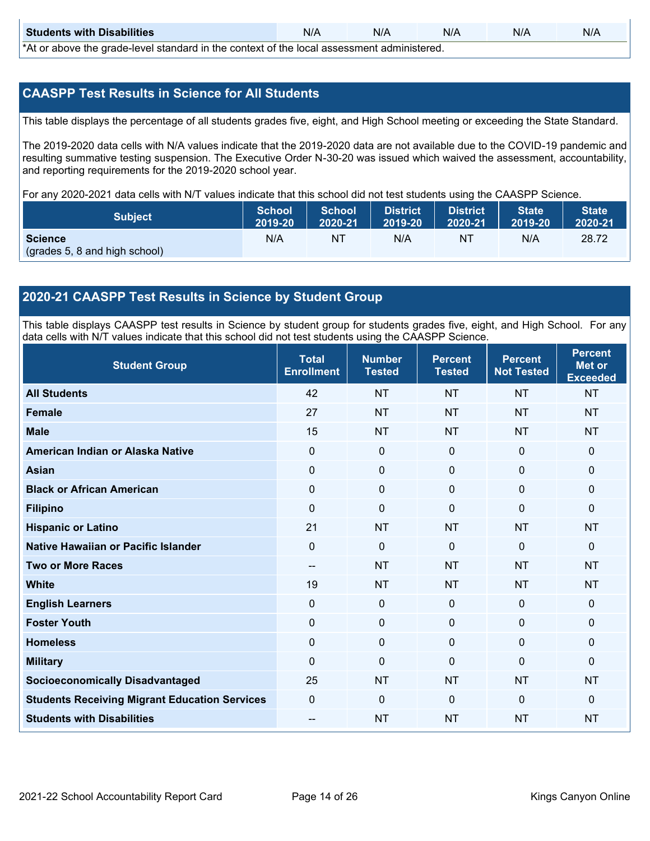| <b>Students with Disabilities</b>                                                           | N/A | N/A | N/A | N/A | N/A |
|---------------------------------------------------------------------------------------------|-----|-----|-----|-----|-----|
| *At as above the escale level standard in the context of the local accordinate admissioned. |     |     |     |     |     |

\*At or above the grade-level standard in the context of the local assessment administered.

#### **CAASPP Test Results in Science for All Students**

This table displays the percentage of all students grades five, eight, and High School meeting or exceeding the State Standard.

The 2019-2020 data cells with N/A values indicate that the 2019-2020 data are not available due to the COVID-19 pandemic and resulting summative testing suspension. The Executive Order N-30-20 was issued which waived the assessment, accountability, and reporting requirements for the 2019-2020 school year.

For any 2020-2021 data cells with N/T values indicate that this school did not test students using the CAASPP Science.

| <b>Subject</b>                | <b>School</b><br>2019-20 | <b>School</b><br>2020-21 | <b>District</b><br>12019-20 | District<br>2020-21 | <b>State</b><br>2019-20 | <b>State</b><br>2020-21 |
|-------------------------------|--------------------------|--------------------------|-----------------------------|---------------------|-------------------------|-------------------------|
| <b>Science</b>                | N/A                      | NT                       | N/A                         | NT.                 | N/A                     | 28.72                   |
| (grades 5, 8 and high school) |                          |                          |                             |                     |                         |                         |

#### **2020-21 CAASPP Test Results in Science by Student Group**

This table displays CAASPP test results in Science by student group for students grades five, eight, and High School. For any data cells with N/T values indicate that this school did not test students using the CAASPP Science.

| <b>Student Group</b>                                 | <b>Total</b><br><b>Enrollment</b> | <b>Number</b><br><b>Tested</b> | <b>Percent</b><br><b>Tested</b> | <b>Percent</b><br><b>Not Tested</b> | <b>Percent</b><br><b>Met or</b><br><b>Exceeded</b> |
|------------------------------------------------------|-----------------------------------|--------------------------------|---------------------------------|-------------------------------------|----------------------------------------------------|
| <b>All Students</b>                                  | 42                                | <b>NT</b>                      | <b>NT</b>                       | <b>NT</b>                           | <b>NT</b>                                          |
| <b>Female</b>                                        | 27                                | <b>NT</b>                      | <b>NT</b>                       | <b>NT</b>                           | <b>NT</b>                                          |
| <b>Male</b>                                          | 15                                | <b>NT</b>                      | <b>NT</b>                       | <b>NT</b>                           | <b>NT</b>                                          |
| American Indian or Alaska Native                     | $\Omega$                          | $\mathbf 0$                    | $\mathbf 0$                     | $\mathbf 0$                         | $\mathbf{0}$                                       |
| <b>Asian</b>                                         | $\mathbf 0$                       | $\mathbf 0$                    | $\mathbf 0$                     | $\mathbf 0$                         | $\mathbf{0}$                                       |
| <b>Black or African American</b>                     | 0                                 | $\mathbf 0$                    | $\mathbf 0$                     | 0                                   | $\mathbf 0$                                        |
| <b>Filipino</b>                                      | $\Omega$                          | $\mathbf 0$                    | $\mathbf{0}$                    | $\Omega$                            | $\mathbf 0$                                        |
| <b>Hispanic or Latino</b>                            | 21                                | <b>NT</b>                      | <b>NT</b>                       | <b>NT</b>                           | <b>NT</b>                                          |
| Native Hawaiian or Pacific Islander                  | 0                                 | $\mathbf 0$                    | $\mathbf{0}$                    | $\mathbf 0$                         | $\mathbf{0}$                                       |
| <b>Two or More Races</b>                             | --                                | <b>NT</b>                      | <b>NT</b>                       | <b>NT</b>                           | <b>NT</b>                                          |
| <b>White</b>                                         | 19                                | <b>NT</b>                      | <b>NT</b>                       | <b>NT</b>                           | <b>NT</b>                                          |
| <b>English Learners</b>                              | $\mathbf 0$                       | $\mathbf 0$                    | $\mathbf 0$                     | $\mathbf 0$                         | $\mathbf{0}$                                       |
| <b>Foster Youth</b>                                  | $\mathbf 0$                       | $\mathbf 0$                    | $\mathbf 0$                     | $\mathbf 0$                         | $\mathbf{0}$                                       |
| <b>Homeless</b>                                      | 0                                 | $\mathbf 0$                    | $\mathbf 0$                     | $\mathbf 0$                         | $\mathbf 0$                                        |
| <b>Military</b>                                      | $\Omega$                          | $\mathbf 0$                    | $\mathbf{0}$                    | $\mathbf{0}$                        | $\mathbf{0}$                                       |
| <b>Socioeconomically Disadvantaged</b>               | 25                                | <b>NT</b>                      | <b>NT</b>                       | <b>NT</b>                           | <b>NT</b>                                          |
| <b>Students Receiving Migrant Education Services</b> | $\mathbf 0$                       | $\mathbf 0$                    | $\mathbf{0}$                    | $\mathbf{0}$                        | $\mathbf{0}$                                       |
| <b>Students with Disabilities</b>                    | $\qquad \qquad -$                 | <b>NT</b>                      | <b>NT</b>                       | <b>NT</b>                           | <b>NT</b>                                          |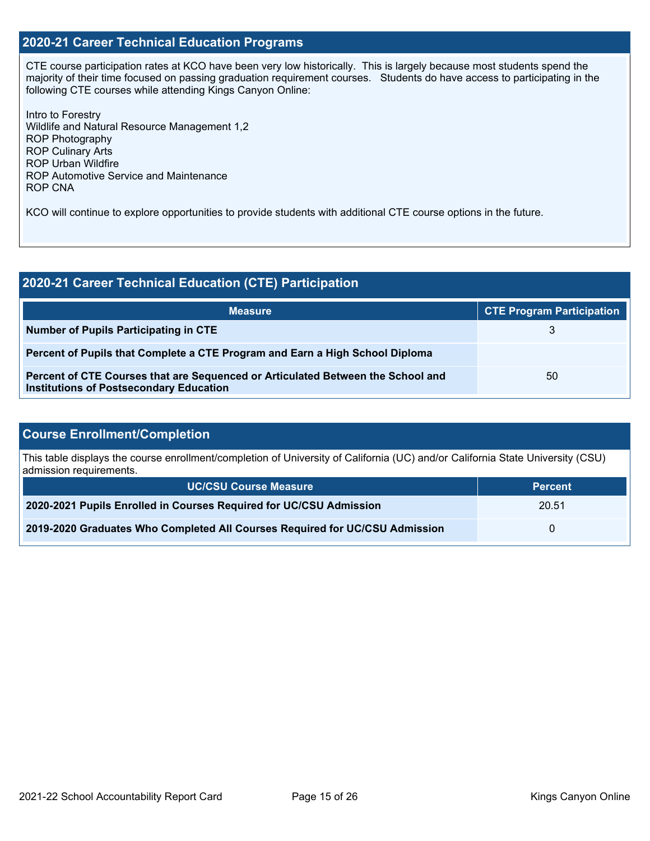#### **2020-21 Career Technical Education Programs**

CTE course participation rates at KCO have been very low historically. This is largely because most students spend the majority of their time focused on passing graduation requirement courses. Students do have access to participating in the following CTE courses while attending Kings Canyon Online:

Intro to Forestry Wildlife and Natural Resource Management 1,2 ROP Photography ROP Culinary Arts ROP Urban Wildfire ROP Automotive Service and Maintenance ROP CNA

KCO will continue to explore opportunities to provide students with additional CTE course options in the future.

| 2020-21 Career Technical Education (CTE) Participation                                                                            |                                  |  |  |  |
|-----------------------------------------------------------------------------------------------------------------------------------|----------------------------------|--|--|--|
| <b>Measure</b>                                                                                                                    | <b>CTE Program Participation</b> |  |  |  |
| Number of Pupils Participating in CTE                                                                                             |                                  |  |  |  |
| Percent of Pupils that Complete a CTE Program and Earn a High School Diploma                                                      |                                  |  |  |  |
| Percent of CTE Courses that are Sequenced or Articulated Between the School and<br><b>Institutions of Postsecondary Education</b> | 50                               |  |  |  |

### **Course Enrollment/Completion**

This table displays the course enrollment/completion of University of California (UC) and/or California State University (CSU) admission requirements.

| <b>UC/CSU Course Measure</b>                                                | <b>Percent</b> |
|-----------------------------------------------------------------------------|----------------|
| 2020-2021 Pupils Enrolled in Courses Required for UC/CSU Admission          | 20.51          |
| 2019-2020 Graduates Who Completed All Courses Required for UC/CSU Admission |                |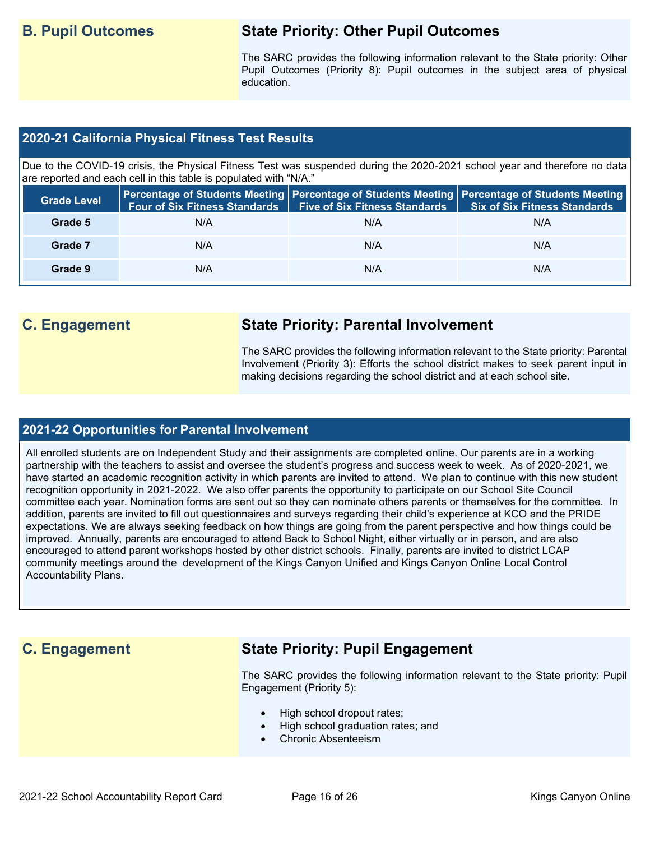## **B. Pupil Outcomes State Priority: Other Pupil Outcomes**

The SARC provides the following information relevant to the State priority: Other Pupil Outcomes (Priority 8): Pupil outcomes in the subject area of physical education.

#### **2020-21 California Physical Fitness Test Results**

Due to the COVID-19 crisis, the Physical Fitness Test was suspended during the 2020-2021 school year and therefore no data are reported and each cell in this table is populated with "N/A."

| <b>Grade Level</b> | <b>Four of Six Fitness Standards</b> | <b>Five of Six Fitness Standards</b> | Percentage of Students Meeting   Percentage of Students Meeting   Percentage of Students Meeting  <br><b>Six of Six Fitness Standards</b> |
|--------------------|--------------------------------------|--------------------------------------|-------------------------------------------------------------------------------------------------------------------------------------------|
| Grade 5            | N/A                                  | N/A                                  | N/A                                                                                                                                       |
| Grade 7            | N/A                                  | N/A                                  | N/A                                                                                                                                       |
| Grade 9            | N/A                                  | N/A                                  | N/A                                                                                                                                       |

## **C. Engagement State Priority: Parental Involvement**

The SARC provides the following information relevant to the State priority: Parental Involvement (Priority 3): Efforts the school district makes to seek parent input in making decisions regarding the school district and at each school site.

#### **2021-22 Opportunities for Parental Involvement**

All enrolled students are on Independent Study and their assignments are completed online. Our parents are in a working partnership with the teachers to assist and oversee the student's progress and success week to week. As of 2020-2021, we have started an academic recognition activity in which parents are invited to attend. We plan to continue with this new student recognition opportunity in 2021-2022. We also offer parents the opportunity to participate on our School Site Council committee each year. Nomination forms are sent out so they can nominate others parents or themselves for the committee. In addition, parents are invited to fill out questionnaires and surveys regarding their child's experience at KCO and the PRIDE expectations. We are always seeking feedback on how things are going from the parent perspective and how things could be improved. Annually, parents are encouraged to attend Back to School Night, either virtually or in person, and are also encouraged to attend parent workshops hosted by other district schools. Finally, parents are invited to district LCAP community meetings around the development of the Kings Canyon Unified and Kings Canyon Online Local Control Accountability Plans.

## **C. Engagement State Priority: Pupil Engagement**

The SARC provides the following information relevant to the State priority: Pupil Engagement (Priority 5):

- High school dropout rates;
- High school graduation rates; and
- Chronic Absenteeism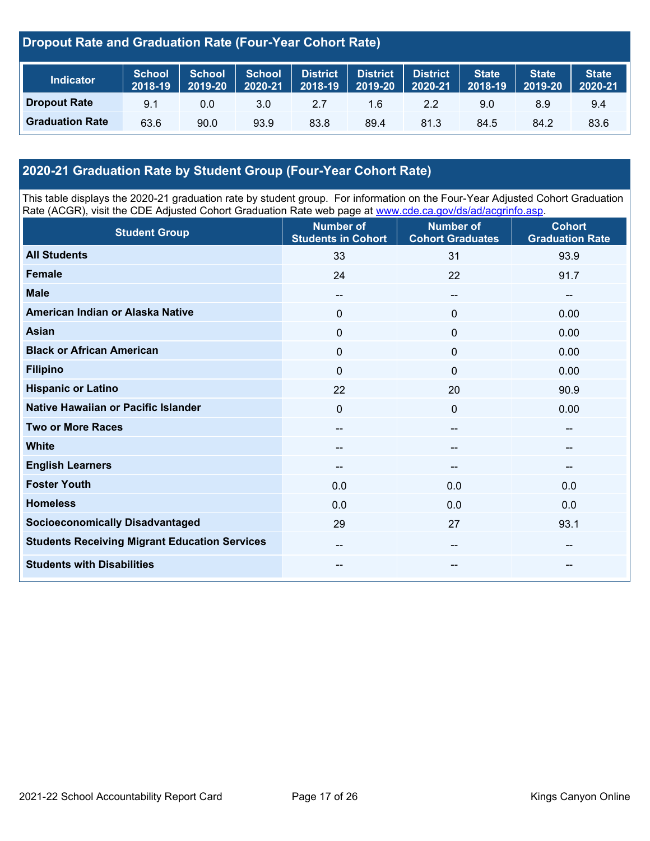### **Dropout Rate and Graduation Rate (Four-Year Cohort Rate)**

| <b>Indicator</b>       | <b>School</b><br>2018-19 | School<br>2019-20 | <b>School</b><br>2020-21 | <b>District</b><br>$2018 - 19$ | District<br>$12019 - 201$ | <b>District</b><br>2020-21 | <b>State</b><br>2018-19 | <b>State</b><br>2019-20 | State <sup>1</sup><br>2020-21 |
|------------------------|--------------------------|-------------------|--------------------------|--------------------------------|---------------------------|----------------------------|-------------------------|-------------------------|-------------------------------|
| <b>Dropout Rate</b>    | 9.1                      | 0.0               | 3.0                      | 2.7                            | 1.6                       | 2.2                        | 9.0                     | 8.9                     | 9.4                           |
| <b>Graduation Rate</b> | 63.6                     | 90.0              | 93.9                     | 83.8                           | 89.4                      | 81.3                       | 84.5                    | 84.2                    | 83.6                          |

## **2020-21 Graduation Rate by Student Group (Four-Year Cohort Rate)**

This table displays the 2020-21 graduation rate by student group. For information on the Four-Year Adjusted Cohort Graduation Rate (ACGR), visit the CDE Adjusted Cohort Graduation Rate web page at [www.cde.ca.gov/ds/ad/acgrinfo.asp.](http://www.cde.ca.gov/ds/ad/acgrinfo.asp)

| <b>Student Group</b>                                 | <b>Number of</b><br><b>Students in Cohort</b> | <b>Number of</b><br><b>Cohort Graduates</b> | <b>Cohort</b><br><b>Graduation Rate</b> |
|------------------------------------------------------|-----------------------------------------------|---------------------------------------------|-----------------------------------------|
| <b>All Students</b>                                  | 33                                            | 31                                          | 93.9                                    |
| <b>Female</b>                                        | 24                                            | 22                                          | 91.7                                    |
| <b>Male</b>                                          | $\overline{\phantom{m}}$                      | $\qquad \qquad -$                           | --                                      |
| American Indian or Alaska Native                     | 0                                             | $\mathbf 0$                                 | 0.00                                    |
| <b>Asian</b>                                         | 0                                             | $\mathbf 0$                                 | 0.00                                    |
| <b>Black or African American</b>                     | $\Omega$                                      | $\mathbf 0$                                 | 0.00                                    |
| <b>Filipino</b>                                      | 0                                             | $\mathbf 0$                                 | 0.00                                    |
| <b>Hispanic or Latino</b>                            | 22                                            | 20                                          | 90.9                                    |
| Native Hawaiian or Pacific Islander                  | 0                                             | $\mathbf 0$                                 | 0.00                                    |
| <b>Two or More Races</b>                             | $\overline{\phantom{a}}$                      | $\hspace{0.05cm}$                           | $\overline{\phantom{a}}$                |
| <b>White</b>                                         | --                                            | --                                          | --                                      |
| <b>English Learners</b>                              | --                                            |                                             | --                                      |
| <b>Foster Youth</b>                                  | 0.0                                           | 0.0                                         | 0.0                                     |
| <b>Homeless</b>                                      | 0.0                                           | 0.0                                         | 0.0                                     |
| <b>Socioeconomically Disadvantaged</b>               | 29                                            | 27                                          | 93.1                                    |
| <b>Students Receiving Migrant Education Services</b> | --                                            | $\hspace{0.05cm} \cdots$                    | $\hspace{0.05cm}$ – $\hspace{0.05cm}$   |
| <b>Students with Disabilities</b>                    | --                                            | --                                          | --                                      |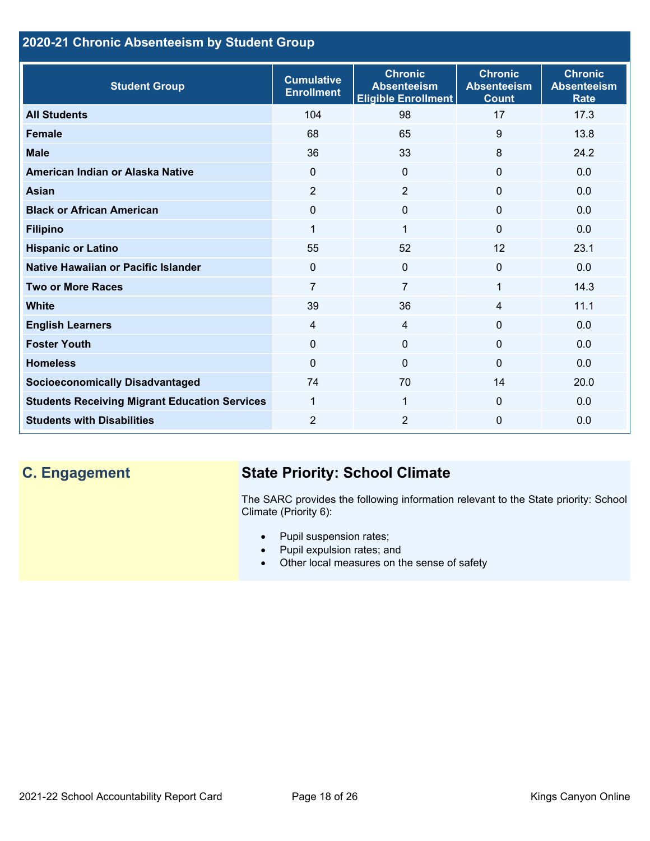## **2020-21 Chronic Absenteeism by Student Group**

| <b>Student Group</b>                                 | <b>Cumulative</b><br><b>Enrollment</b> | <b>Chronic</b><br><b>Absenteeism</b><br><b>Eligible Enrollment</b> | <b>Chronic</b><br><b>Absenteeism</b><br><b>Count</b> | <b>Chronic</b><br><b>Absenteeism</b><br><b>Rate</b> |
|------------------------------------------------------|----------------------------------------|--------------------------------------------------------------------|------------------------------------------------------|-----------------------------------------------------|
| <b>All Students</b>                                  | 104                                    | 98                                                                 | 17                                                   | 17.3                                                |
| <b>Female</b>                                        | 68                                     | 65                                                                 | 9                                                    | 13.8                                                |
| <b>Male</b>                                          | 36                                     | 33                                                                 | 8                                                    | 24.2                                                |
| American Indian or Alaska Native                     | $\Omega$                               | $\overline{0}$                                                     | $\mathbf{0}$                                         | 0.0                                                 |
| <b>Asian</b>                                         | $\overline{2}$                         | $\overline{2}$                                                     | $\mathbf 0$                                          | 0.0                                                 |
| <b>Black or African American</b>                     | $\Omega$                               | $\mathbf{0}$                                                       | $\mathbf{0}$                                         | 0.0                                                 |
| <b>Filipino</b>                                      | $\mathbf{1}$                           | $\mathbf{1}$                                                       | $\mathbf{0}$                                         | 0.0                                                 |
| <b>Hispanic or Latino</b>                            | 55                                     | 52                                                                 | 12                                                   | 23.1                                                |
| Native Hawaiian or Pacific Islander                  | 0                                      | $\mathbf 0$                                                        | $\mathbf 0$                                          | 0.0                                                 |
| <b>Two or More Races</b>                             | $\overline{7}$                         | $\overline{7}$                                                     | 1                                                    | 14.3                                                |
| <b>White</b>                                         | 39                                     | 36                                                                 | 4                                                    | 11.1                                                |
| <b>English Learners</b>                              | $\overline{4}$                         | $\overline{4}$                                                     | $\Omega$                                             | 0.0                                                 |
| <b>Foster Youth</b>                                  | $\mathbf{0}$                           | $\mathbf{0}$                                                       | $\Omega$                                             | 0.0                                                 |
| <b>Homeless</b>                                      | $\Omega$                               | $\mathbf 0$                                                        | $\Omega$                                             | 0.0                                                 |
| <b>Socioeconomically Disadvantaged</b>               | 74                                     | 70                                                                 | 14                                                   | 20.0                                                |
| <b>Students Receiving Migrant Education Services</b> | 1                                      | 1                                                                  | $\mathbf{0}$                                         | 0.0                                                 |
| <b>Students with Disabilities</b>                    | $\overline{2}$                         | 2                                                                  | $\Omega$                                             | 0.0                                                 |

## **C. Engagement State Priority: School Climate**

The SARC provides the following information relevant to the State priority: School Climate (Priority 6):

- Pupil suspension rates;
- Pupil expulsion rates; and
- Other local measures on the sense of safety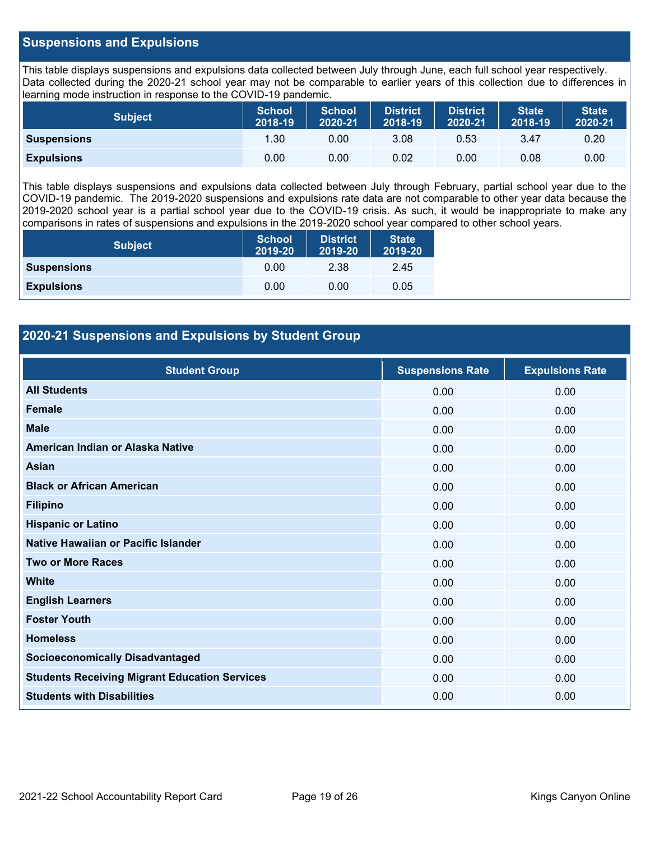#### **Suspensions and Expulsions**

This table displays suspensions and expulsions data collected between July through June, each full school year respectively. Data collected during the 2020-21 school year may not be comparable to earlier years of this collection due to differences in learning mode instruction in response to the COVID-19 pandemic.

| <b>Subject</b>     | <b>School</b><br>2018-19 | <b>School</b><br>2020-21 | <b>District</b><br>2018-19 | <b>District</b><br>2020-21 | <b>State</b><br>2018-19 | <b>State</b><br>2020-21 |
|--------------------|--------------------------|--------------------------|----------------------------|----------------------------|-------------------------|-------------------------|
| <b>Suspensions</b> | 1.30                     | 0.00                     | 3.08                       | 0.53                       | 3.47                    | 0.20                    |
| <b>Expulsions</b>  | 0.00                     | 0.00                     | 0.02                       | 0.00                       | 0.08                    | 0.00                    |

This table displays suspensions and expulsions data collected between July through February, partial school year due to the COVID-19 pandemic. The 2019-2020 suspensions and expulsions rate data are not comparable to other year data because the 2019-2020 school year is a partial school year due to the COVID-19 crisis. As such, it would be inappropriate to make any comparisons in rates of suspensions and expulsions in the 2019-2020 school year compared to other school years.

| <b>Subject</b>     | School<br>2019-20 | <b>District</b><br>2019-20 | <b>State</b><br>2019-20 |
|--------------------|-------------------|----------------------------|-------------------------|
| <b>Suspensions</b> | 0.00              | 2.38                       | 2.45                    |
| <b>Expulsions</b>  | 0.00              | 0.00                       | 0.05                    |

#### **2020-21 Suspensions and Expulsions by Student Group**

| <b>Student Group</b>                                 | <b>Suspensions Rate</b> | <b>Expulsions Rate</b> |
|------------------------------------------------------|-------------------------|------------------------|
| <b>All Students</b>                                  | 0.00                    | 0.00                   |
| <b>Female</b>                                        | 0.00                    | 0.00                   |
| <b>Male</b>                                          | 0.00                    | 0.00                   |
| American Indian or Alaska Native                     | 0.00                    | 0.00                   |
| Asian                                                | 0.00                    | 0.00                   |
| <b>Black or African American</b>                     | 0.00                    | 0.00                   |
| <b>Filipino</b>                                      | 0.00                    | 0.00                   |
| <b>Hispanic or Latino</b>                            | 0.00                    | 0.00                   |
| Native Hawaiian or Pacific Islander                  | 0.00                    | 0.00                   |
| <b>Two or More Races</b>                             | 0.00                    | 0.00                   |
| <b>White</b>                                         | 0.00                    | 0.00                   |
| <b>English Learners</b>                              | 0.00                    | 0.00                   |
| <b>Foster Youth</b>                                  | 0.00                    | 0.00                   |
| <b>Homeless</b>                                      | 0.00                    | 0.00                   |
| <b>Socioeconomically Disadvantaged</b>               | 0.00                    | 0.00                   |
| <b>Students Receiving Migrant Education Services</b> | 0.00                    | 0.00                   |
| <b>Students with Disabilities</b>                    | 0.00                    | 0.00                   |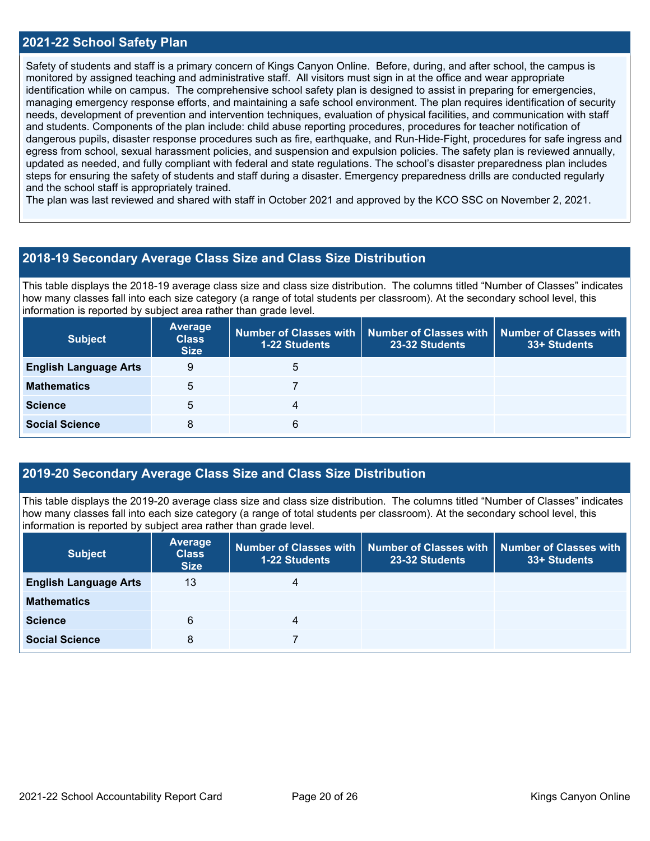#### **2021-22 School Safety Plan**

Safety of students and staff is a primary concern of Kings Canyon Online. Before, during, and after school, the campus is monitored by assigned teaching and administrative staff. All visitors must sign in at the office and wear appropriate identification while on campus. The comprehensive school safety plan is designed to assist in preparing for emergencies, managing emergency response efforts, and maintaining a safe school environment. The plan requires identification of security needs, development of prevention and intervention techniques, evaluation of physical facilities, and communication with staff and students. Components of the plan include: child abuse reporting procedures, procedures for teacher notification of dangerous pupils, disaster response procedures such as fire, earthquake, and Run-Hide-Fight, procedures for safe ingress and egress from school, sexual harassment policies, and suspension and expulsion policies. The safety plan is reviewed annually, updated as needed, and fully compliant with federal and state regulations. The school's disaster preparedness plan includes steps for ensuring the safety of students and staff during a disaster. Emergency preparedness drills are conducted regularly and the school staff is appropriately trained.

The plan was last reviewed and shared with staff in October 2021 and approved by the KCO SSC on November 2, 2021.

#### **2018-19 Secondary Average Class Size and Class Size Distribution**

This table displays the 2018-19 average class size and class size distribution. The columns titled "Number of Classes" indicates how many classes fall into each size category (a range of total students per classroom). At the secondary school level, this information is reported by subject area rather than grade level.

| <b>Subject</b>               | <b>Average</b><br><b>Class</b><br><b>Size</b> | 1-22 Students | Number of Classes with   Number of Classes with   Number of Classes with<br>23-32 Students | 33+ Students |
|------------------------------|-----------------------------------------------|---------------|--------------------------------------------------------------------------------------------|--------------|
| <b>English Language Arts</b> | 9                                             | 5             |                                                                                            |              |
| <b>Mathematics</b>           | 5                                             |               |                                                                                            |              |
| <b>Science</b>               | 5                                             | 4             |                                                                                            |              |
| <b>Social Science</b>        | 8                                             | 6             |                                                                                            |              |

#### **2019-20 Secondary Average Class Size and Class Size Distribution**

This table displays the 2019-20 average class size and class size distribution. The columns titled "Number of Classes" indicates how many classes fall into each size category (a range of total students per classroom). At the secondary school level, this information is reported by subject area rather than grade level.

| <b>Subject</b>               | <b>Average</b><br><b>Class</b><br><b>Size</b> | 1-22 Students | Number of Classes with   Number of Classes with<br>23-32 Students | <b>Number of Classes with</b><br>33+ Students |
|------------------------------|-----------------------------------------------|---------------|-------------------------------------------------------------------|-----------------------------------------------|
| <b>English Language Arts</b> | 13                                            | 4             |                                                                   |                                               |
| <b>Mathematics</b>           |                                               |               |                                                                   |                                               |
| <b>Science</b>               | 6                                             | 4             |                                                                   |                                               |
| <b>Social Science</b>        | 8                                             |               |                                                                   |                                               |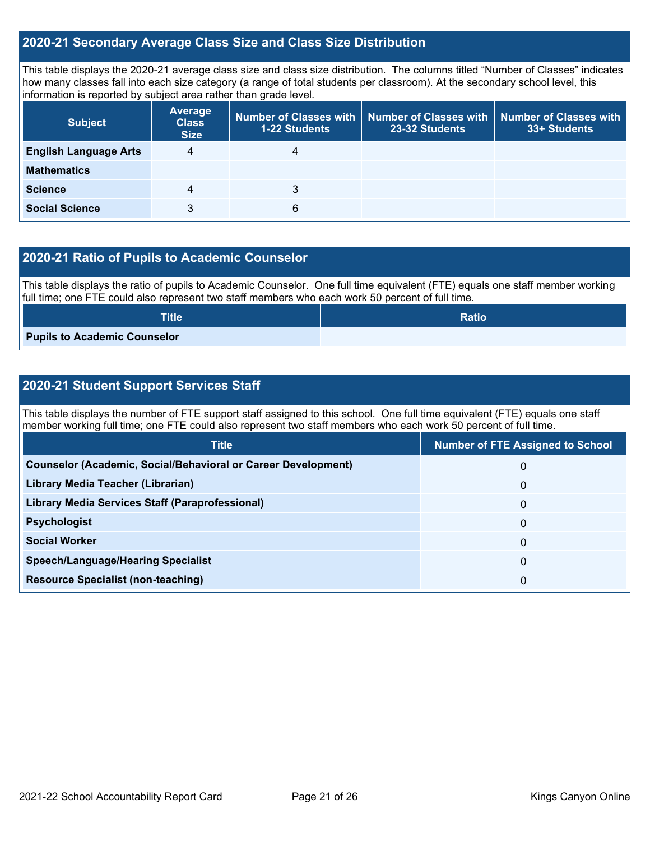#### **2020-21 Secondary Average Class Size and Class Size Distribution**

This table displays the 2020-21 average class size and class size distribution. The columns titled "Number of Classes" indicates how many classes fall into each size category (a range of total students per classroom). At the secondary school level, this information is reported by subject area rather than grade level.

| <b>Subject</b>               | <b>Average</b><br><b>Class</b><br><b>Size</b> | 1-22 Students | Number of Classes with   Number of Classes with  <br>23-32 Students | <b>Number of Classes with</b><br>33+ Students |
|------------------------------|-----------------------------------------------|---------------|---------------------------------------------------------------------|-----------------------------------------------|
| <b>English Language Arts</b> | 4                                             | 4             |                                                                     |                                               |
| <b>Mathematics</b>           |                                               |               |                                                                     |                                               |
| <b>Science</b>               | 4                                             | 3             |                                                                     |                                               |
| <b>Social Science</b>        | 3                                             | 6             |                                                                     |                                               |

#### **2020-21 Ratio of Pupils to Academic Counselor**

This table displays the ratio of pupils to Academic Counselor. One full time equivalent (FTE) equals one staff member working full time; one FTE could also represent two staff members who each work 50 percent of full time.

| <b>Title</b>                 | <b>Ratio</b> |
|------------------------------|--------------|
| Pupils to Academic Counselor |              |

### **2020-21 Student Support Services Staff**

This table displays the number of FTE support staff assigned to this school. One full time equivalent (FTE) equals one staff member working full time; one FTE could also represent two staff members who each work 50 percent of full time.

| <b>Title</b>                                                         | <b>Number of FTE Assigned to School</b> |
|----------------------------------------------------------------------|-----------------------------------------|
| <b>Counselor (Academic, Social/Behavioral or Career Development)</b> | 0                                       |
| Library Media Teacher (Librarian)                                    | $\mathbf{0}$                            |
| Library Media Services Staff (Paraprofessional)                      | $\mathbf{0}$                            |
| <b>Psychologist</b>                                                  | $\mathbf{0}$                            |
| <b>Social Worker</b>                                                 | 0                                       |
| <b>Speech/Language/Hearing Specialist</b>                            | $\mathbf{0}$                            |
| <b>Resource Specialist (non-teaching)</b>                            | 0                                       |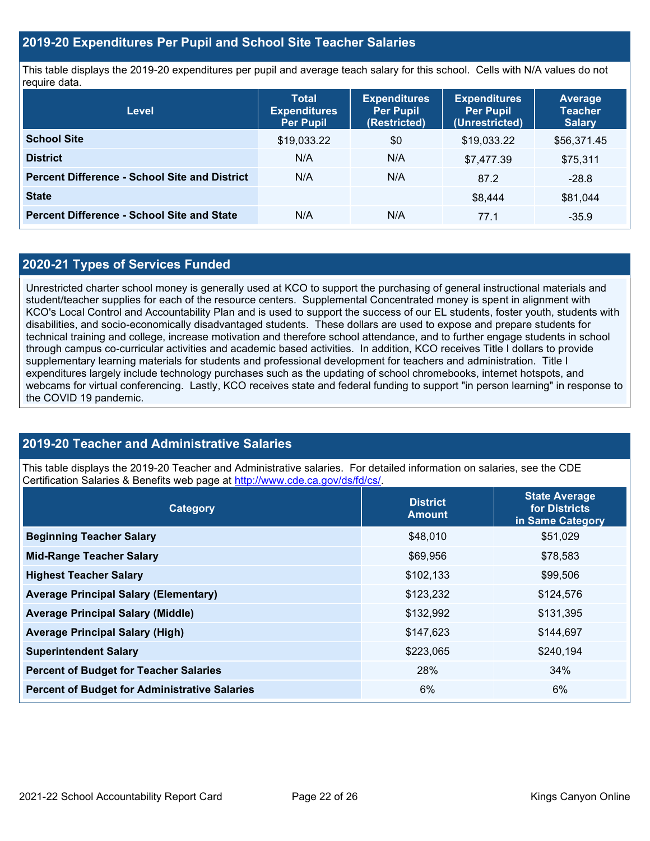#### **2019-20 Expenditures Per Pupil and School Site Teacher Salaries**

This table displays the 2019-20 expenditures per pupil and average teach salary for this school. Cells with N/A values do not require data.

| Level                                                | <b>Total</b><br><b>Expenditures</b><br><b>Per Pupil</b> | <b>Expenditures</b><br><b>Per Pupil</b><br>(Restricted) | <b>Expenditures</b><br><b>Per Pupil</b><br>(Unrestricted) | <b>Average</b><br><b>Teacher</b><br><b>Salary</b> |
|------------------------------------------------------|---------------------------------------------------------|---------------------------------------------------------|-----------------------------------------------------------|---------------------------------------------------|
| <b>School Site</b>                                   | \$19,033.22                                             | \$0                                                     | \$19,033.22                                               | \$56,371.45                                       |
| <b>District</b>                                      | N/A                                                     | N/A                                                     | \$7,477.39                                                | \$75,311                                          |
| <b>Percent Difference - School Site and District</b> | N/A                                                     | N/A                                                     | 87.2                                                      | $-28.8$                                           |
| <b>State</b>                                         |                                                         |                                                         | \$8,444                                                   | \$81,044                                          |
| <b>Percent Difference - School Site and State</b>    | N/A                                                     | N/A                                                     | 77.1                                                      | $-35.9$                                           |

#### **2020-21 Types of Services Funded**

Unrestricted charter school money is generally used at KCO to support the purchasing of general instructional materials and student/teacher supplies for each of the resource centers. Supplemental Concentrated money is spent in alignment with KCO's Local Control and Accountability Plan and is used to support the success of our EL students, foster youth, students with disabilities, and socio-economically disadvantaged students. These dollars are used to expose and prepare students for technical training and college, increase motivation and therefore school attendance, and to further engage students in school through campus co-curricular activities and academic based activities. In addition, KCO receives Title I dollars to provide supplementary learning materials for students and professional development for teachers and administration. Title I expenditures largely include technology purchases such as the updating of school chromebooks, internet hotspots, and webcams for virtual conferencing. Lastly, KCO receives state and federal funding to support "in person learning" in response to the COVID 19 pandemic.

#### **2019-20 Teacher and Administrative Salaries**

This table displays the 2019-20 Teacher and Administrative salaries. For detailed information on salaries, see the CDE Certification Salaries & Benefits web page at [http://www.cde.ca.gov/ds/fd/cs/.](http://www.cde.ca.gov/ds/fd/cs/)

| Category                                             | <b>District</b><br><b>Amount</b> | <b>State Average</b><br>for Districts<br>in Same Category |  |
|------------------------------------------------------|----------------------------------|-----------------------------------------------------------|--|
| <b>Beginning Teacher Salary</b>                      | \$48,010                         | \$51,029                                                  |  |
| <b>Mid-Range Teacher Salary</b>                      | \$69,956                         | \$78,583                                                  |  |
| <b>Highest Teacher Salary</b>                        | \$102,133                        | \$99,506                                                  |  |
| <b>Average Principal Salary (Elementary)</b>         | \$123,232                        | \$124,576                                                 |  |
| <b>Average Principal Salary (Middle)</b>             | \$132,992                        | \$131,395                                                 |  |
| <b>Average Principal Salary (High)</b>               | \$147,623                        | \$144,697                                                 |  |
| <b>Superintendent Salary</b>                         | \$223,065                        | \$240,194                                                 |  |
| <b>Percent of Budget for Teacher Salaries</b>        | 28%                              | 34%                                                       |  |
| <b>Percent of Budget for Administrative Salaries</b> | 6%                               | 6%                                                        |  |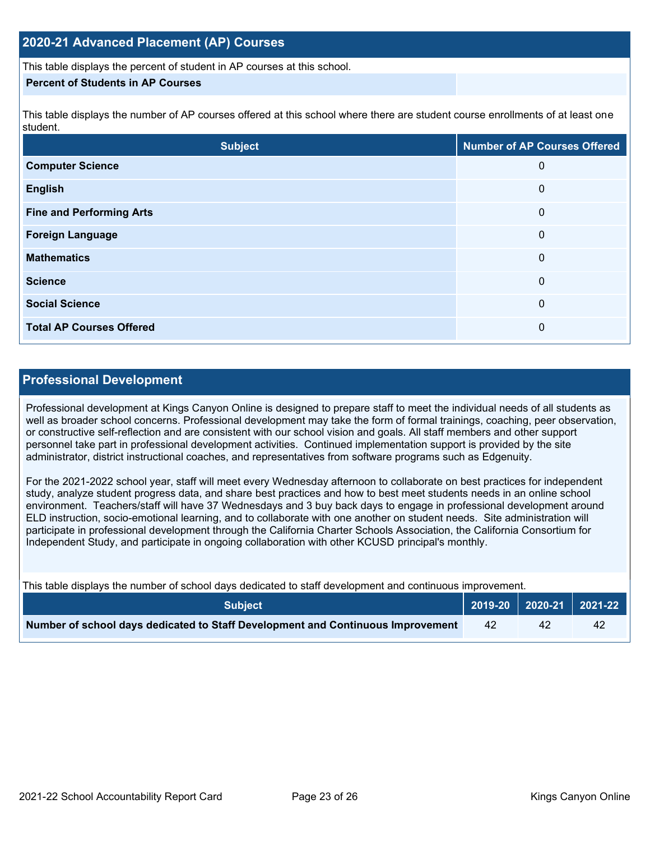#### **2020-21 Advanced Placement (AP) Courses**

This table displays the percent of student in AP courses at this school.

#### **Percent of Students in AP Courses**

This table displays the number of AP courses offered at this school where there are student course enrollments of at least one student.

| <b>Subject</b>                  | <b>Number of AP Courses Offered</b> |
|---------------------------------|-------------------------------------|
| <b>Computer Science</b>         | 0                                   |
| <b>English</b>                  | 0                                   |
| <b>Fine and Performing Arts</b> | 0                                   |
| <b>Foreign Language</b>         | 0                                   |
| <b>Mathematics</b>              | 0                                   |
| <b>Science</b>                  | 0                                   |
| <b>Social Science</b>           | 0                                   |
| <b>Total AP Courses Offered</b> | 0                                   |

#### **Professional Development**

Professional development at Kings Canyon Online is designed to prepare staff to meet the individual needs of all students as well as broader school concerns. Professional development may take the form of formal trainings, coaching, peer observation, or constructive self-reflection and are consistent with our school vision and goals. All staff members and other support personnel take part in professional development activities. Continued implementation support is provided by the site administrator, district instructional coaches, and representatives from software programs such as Edgenuity.

For the 2021-2022 school year, staff will meet every Wednesday afternoon to collaborate on best practices for independent study, analyze student progress data, and share best practices and how to best meet students needs in an online school environment. Teachers/staff will have 37 Wednesdays and 3 buy back days to engage in professional development around ELD instruction, socio-emotional learning, and to collaborate with one another on student needs. Site administration will participate in professional development through the California Charter Schools Association, the California Consortium for Independent Study, and participate in ongoing collaboration with other KCUSD principal's monthly.

This table displays the number of school days dedicated to staff development and continuous improvement.

| <b>Subject</b>                                                                  |  |    |
|---------------------------------------------------------------------------------|--|----|
| Number of school days dedicated to Staff Development and Continuous Improvement |  | 42 |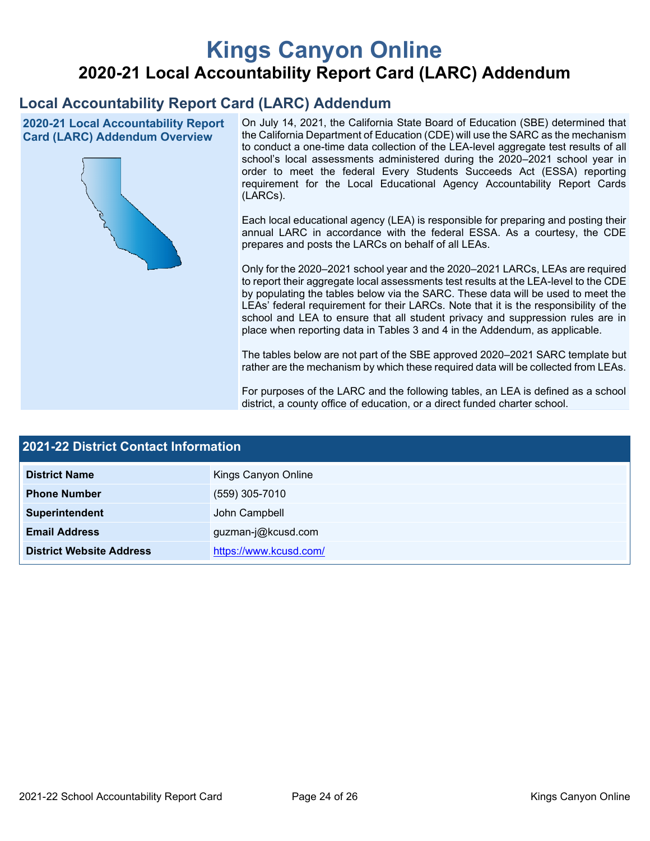# **Kings Canyon Online 2020-21 Local Accountability Report Card (LARC) Addendum**

## **Local Accountability Report Card (LARC) Addendum**

**2020-21 Local Accountability Report Card (LARC) Addendum Overview**



On July 14, 2021, the California State Board of Education (SBE) determined that the California Department of Education (CDE) will use the SARC as the mechanism to conduct a one-time data collection of the LEA-level aggregate test results of all school's local assessments administered during the 2020–2021 school year in order to meet the federal Every Students Succeeds Act (ESSA) reporting requirement for the Local Educational Agency Accountability Report Cards (LARCs).

Each local educational agency (LEA) is responsible for preparing and posting their annual LARC in accordance with the federal ESSA. As a courtesy, the CDE prepares and posts the LARCs on behalf of all LEAs.

Only for the 2020–2021 school year and the 2020–2021 LARCs, LEAs are required to report their aggregate local assessments test results at the LEA-level to the CDE by populating the tables below via the SARC. These data will be used to meet the LEAs' federal requirement for their LARCs. Note that it is the responsibility of the school and LEA to ensure that all student privacy and suppression rules are in place when reporting data in Tables 3 and 4 in the Addendum, as applicable.

The tables below are not part of the SBE approved 2020–2021 SARC template but rather are the mechanism by which these required data will be collected from LEAs.

For purposes of the LARC and the following tables, an LEA is defined as a school district, a county office of education, or a direct funded charter school.

| <b>2021-22 District Contact Information</b> |                        |  |  |  |
|---------------------------------------------|------------------------|--|--|--|
| <b>District Name</b>                        | Kings Canyon Online    |  |  |  |
| <b>Phone Number</b>                         | $(559)$ 305-7010       |  |  |  |
| Superintendent                              | John Campbell          |  |  |  |
| <b>Email Address</b>                        | guzman-j@kcusd.com     |  |  |  |
| <b>District Website Address</b>             | https://www.kcusd.com/ |  |  |  |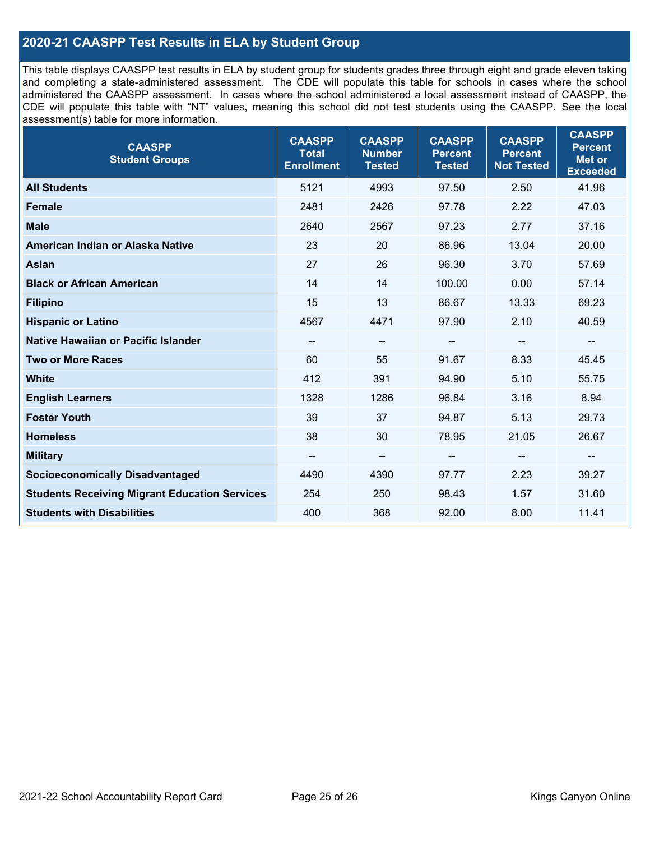### **2020-21 CAASPP Test Results in ELA by Student Group**

This table displays CAASPP test results in ELA by student group for students grades three through eight and grade eleven taking and completing a state-administered assessment. The CDE will populate this table for schools in cases where the school administered the CAASPP assessment. In cases where the school administered a local assessment instead of CAASPP, the CDE will populate this table with "NT" values, meaning this school did not test students using the CAASPP. See the local assessment(s) table for more information.

| <b>CAASPP</b><br><b>Student Groups</b>               | <b>CAASPP</b><br><b>Total</b><br><b>Enrollment</b> | <b>CAASPP</b><br><b>Number</b><br><b>Tested</b> | <b>CAASPP</b><br><b>Percent</b><br><b>Tested</b> | <b>CAASPP</b><br><b>Percent</b><br><b>Not Tested</b> | <b>CAASPP</b><br><b>Percent</b><br><b>Met or</b><br><b>Exceeded</b> |
|------------------------------------------------------|----------------------------------------------------|-------------------------------------------------|--------------------------------------------------|------------------------------------------------------|---------------------------------------------------------------------|
| <b>All Students</b>                                  | 5121                                               | 4993                                            | 97.50                                            | 2.50                                                 | 41.96                                                               |
| <b>Female</b>                                        | 2481                                               | 2426                                            | 97.78                                            | 2.22                                                 | 47.03                                                               |
| <b>Male</b>                                          | 2640                                               | 2567                                            | 97.23                                            | 2.77                                                 | 37.16                                                               |
| American Indian or Alaska Native                     | 23                                                 | 20                                              | 86.96                                            | 13.04                                                | 20.00                                                               |
| <b>Asian</b>                                         | 27                                                 | 26                                              | 96.30                                            | 3.70                                                 | 57.69                                                               |
| <b>Black or African American</b>                     | 14                                                 | 14                                              | 100.00                                           | 0.00                                                 | 57.14                                                               |
| <b>Filipino</b>                                      | 15                                                 | 13                                              | 86.67                                            | 13.33                                                | 69.23                                                               |
| <b>Hispanic or Latino</b>                            | 4567                                               | 4471                                            | 97.90                                            | 2.10                                                 | 40.59                                                               |
| Native Hawaiian or Pacific Islander                  | --                                                 | $\overline{\phantom{m}}$                        | --                                               | $\overline{\phantom{a}}$                             | $\overline{\phantom{a}}$                                            |
| <b>Two or More Races</b>                             | 60                                                 | 55                                              | 91.67                                            | 8.33                                                 | 45.45                                                               |
| <b>White</b>                                         | 412                                                | 391                                             | 94.90                                            | 5.10                                                 | 55.75                                                               |
| <b>English Learners</b>                              | 1328                                               | 1286                                            | 96.84                                            | 3.16                                                 | 8.94                                                                |
| <b>Foster Youth</b>                                  | 39                                                 | 37                                              | 94.87                                            | 5.13                                                 | 29.73                                                               |
| <b>Homeless</b>                                      | 38                                                 | 30                                              | 78.95                                            | 21.05                                                | 26.67                                                               |
| <b>Military</b>                                      | --                                                 | --                                              | --                                               | --                                                   | --                                                                  |
| <b>Socioeconomically Disadvantaged</b>               | 4490                                               | 4390                                            | 97.77                                            | 2.23                                                 | 39.27                                                               |
| <b>Students Receiving Migrant Education Services</b> | 254                                                | 250                                             | 98.43                                            | 1.57                                                 | 31.60                                                               |
| <b>Students with Disabilities</b>                    | 400                                                | 368                                             | 92.00                                            | 8.00                                                 | 11.41                                                               |